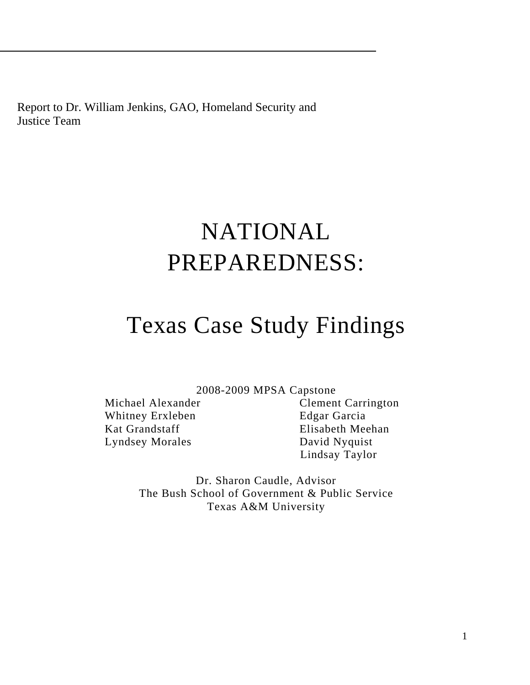Report to Dr. William Jenkins, GAO, Homeland Security and Justice Team

# NATIONAL PREPAREDNESS:

# Texas Case Study Findings

2008-2009 MPSA Capstone

Whitney Erxleben Edgar Garcia Kat Grandstaff Elisabeth Meehan Lyndsey Morales David Nyquist

Michael Alexander Clement Carrington Lindsay Taylor

> Dr. Sharon Caudle, Advisor The Bush School of Government & Public Service Texas A&M University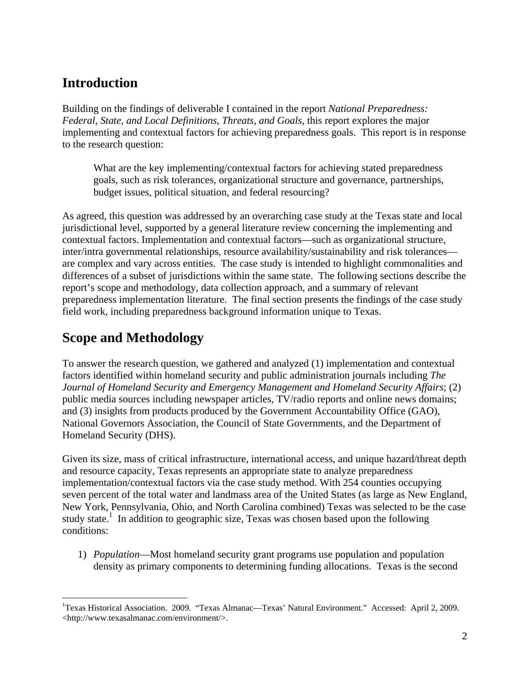# **Introduction**

Building on the findings of deliverable I contained in the report *National Preparedness: Federal, State, and Local Definitions, Threats, and Goals*, this report explores the major implementing and contextual factors for achieving preparedness goals. This report is in response to the research question:

What are the key implementing/contextual factors for achieving stated preparedness goals, such as risk tolerances, organizational structure and governance, partnerships, budget issues, political situation, and federal resourcing?

As agreed, this question was addressed by an overarching case study at the Texas state and local jurisdictional level, supported by a general literature review concerning the implementing and contextual factors. Implementation and contextual factors—such as organizational structure, inter/intra governmental relationships, resource availability/sustainability and risk tolerances are complex and vary across entities. The case study is intended to highlight commonalities and differences of a subset of jurisdictions within the same state. The following sections describe the report's scope and methodology, data collection approach, and a summary of relevant preparedness implementation literature. The final section presents the findings of the case study field work, including preparedness background information unique to Texas.

# **Scope and Methodology**

1

To answer the research question, we gathered and analyzed (1) implementation and contextual factors identified within homeland security and public administration journals including *The Journal of Homeland Security and Emergency Management and Homeland Security Affairs*; (2) public media sources including newspaper articles, TV/radio reports and online news domains; and (3) insights from products produced by the Government Accountability Office (GAO), National Governors Association, the Council of State Governments, and the Department of Homeland Security (DHS).

Given its size, mass of critical infrastructure, international access, and unique hazard/threat depth and resource capacity, Texas represents an appropriate state to analyze preparedness implementation/contextual factors via the case study method. With 254 counties occupying seven percent of the total water and landmass area of the United States (as large as New England, New York, Pennsylvania, Ohio, and North Carolina combined) Texas was selected to be the case study state.<sup>1</sup> In addition to geographic size, Texas was chosen based upon the following conditions:

1) *Population*—Most homeland security grant programs use population and population density as primary components to determining funding allocations. Texas is the second

<sup>&</sup>lt;sup>1</sup>Texas Historical Association. 2009. "Texas Almanac—Texas' Natural Environment." Accessed: April 2, 2009. <http://www.texasalmanac.com/environment/>.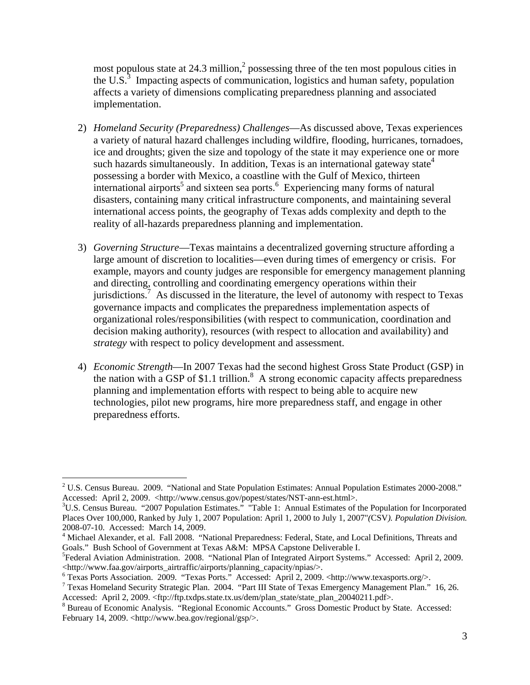most populous state at 24.3 million, $\frac{2}{3}$  possessing three of the ten most populous cities in the U.S.<sup>3</sup> Impacting aspects of communication, logistics and human safety, population affects a variety of dimensions complicating preparedness planning and associated implementation.

- 2) *Homeland Security (Preparedness) Challenges*—As discussed above, Texas experiences a variety of natural hazard challenges including wildfire, flooding, hurricanes, tornadoes, ice and droughts; given the size and topology of the state it may experience one or more such hazards simultaneously. In addition, Texas is an international gateway state<sup>4</sup> possessing a border with Mexico, a coastline with the Gulf of Mexico, thirteen  $\frac{1}{2}$  international airports<sup>5</sup> and sixteen sea ports.<sup>6</sup> Experiencing many forms of natural disasters, containing many critical infrastructure components, and maintaining several international access points, the geography of Texas adds complexity and depth to the reality of all-hazards preparedness planning and implementation.
- 3) *Governing Structure*—Texas maintains a decentralized governing structure affording a large amount of discretion to localities—even during times of emergency or crisis. For example, mayors and county judges are responsible for emergency management planning and directing, controlling and coordinating emergency operations within their jurisdictions.<sup>7</sup> As discussed in the literature, the level of autonomy with respect to Texas governance impacts and complicates the preparedness implementation aspects of organizational roles/responsibilities (with respect to communication, coordination and decision making authority), resource*s* (with respect to allocation and availability) and *strategy* with respect to policy development and assessment.
- 4) *Economic Strength*—In 2007 Texas had the second highest Gross State Product (GSP) in the nation with a GSP of \$1.1 trillion.<sup>8</sup> A strong economic capacity affects preparedness planning and implementation efforts with respect to being able to acquire new technologies, pilot new programs, hire more preparedness staff, and engage in other preparedness efforts.

 $\overline{a}$ 

<sup>&</sup>lt;sup>2</sup> U.S. Census Bureau. 2009. "National and State Population Estimates: Annual Population Estimates 2000-2008." Accessed: April 2, 2009. <http://www.census.gov/popest/states/NST-ann-est.html>.

<sup>&</sup>lt;sup>3</sup>U.S. Census Bureau. "2007 Population Estimates." "Table 1: Annual Estimates of the Population for Incorporated Places Over 100,000, Ranked by July 1, 2007 Population: April 1, 2000 to July 1, 2007"*(*CSV*). Population Division.*  2008-07-10. Accessed: March 14, 2009.

<sup>&</sup>lt;sup>4</sup> Michael Alexander, et al. Fall 2008. "National Preparedness: Federal, State, and Local Definitions, Threats and Goals." Bush School of Government at Texas A&M: MPSA Capstone Deliverable I.

<sup>&</sup>lt;sup>5</sup>Federal Aviation Administration. 2008. "National Plan of Integrated Airport Systems." Accessed: April 2, 2009. <http://www.faa.gov/airports\_airtraffic/airports/planning\_capacity/npias/>. 6

<sup>&</sup>lt;sup>6</sup> Texas Ports Association. 2009. "Texas Ports." Accessed: April 2, 2009. <http://www.texasports.org/>.

<sup>&</sup>lt;sup>7</sup> Texas Homeland Security Strategic Plan. 2004. "Part III State of Texas Emergency Management Plan." 16, 26. Accessed: April 2, 2009. <ftp://ftp.txdps.state.tx.us/dem/plan\_state/state\_plan\_20040211.pdf>.

<sup>&</sup>lt;sup>8</sup> Bureau of Economic Analysis. "Regional Economic Accounts." Gross Domestic Product by State. Accessed: February 14, 2009. <http://www.bea.gov/regional/gsp/>.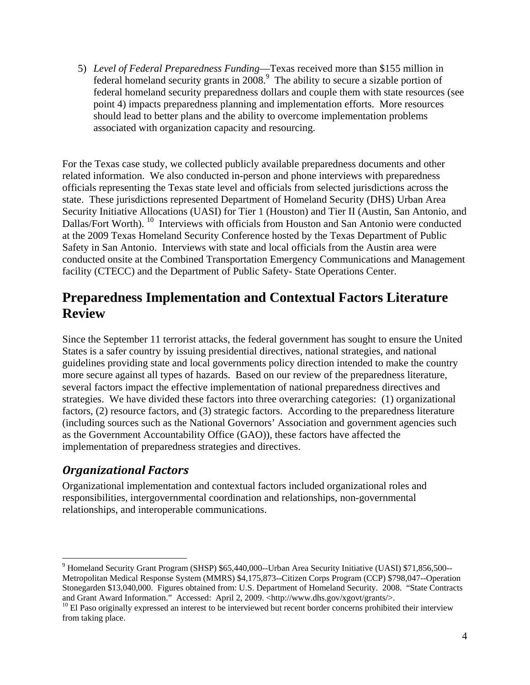5) *Level of Federal Preparedness Funding*—Texas received more than \$155 million in federal homeland security grants in  $2008$ .<sup>9</sup> The ability to secure a sizable portion of federal homeland security preparedness dollars and couple them with state resources (see point 4) impacts preparedness planning and implementation efforts. More resources should lead to better plans and the ability to overcome implementation problems associated with organization capacity and resourcing.

For the Texas case study, we collected publicly available preparedness documents and other related information. We also conducted in-person and phone interviews with preparedness officials representing the Texas state level and officials from selected jurisdictions across the state. These jurisdictions represented Department of Homeland Security (DHS) Urban Area Security Initiative Allocations (UASI) for Tier 1 (Houston) and Tier II (Austin, San Antonio, and Dallas/Fort Worth). <sup>10</sup> Interviews with officials from Houston and San Antonio were conducted at the 2009 Texas Homeland Security Conference hosted by the Texas Department of Public Safety in San Antonio. Interviews with state and local officials from the Austin area were conducted onsite at the Combined Transportation Emergency Communications and Management facility (CTECC) and the Department of Public Safety- State Operations Center.

# **Preparedness Implementation and Contextual Factors Literature Review**

Since the September 11 terrorist attacks, the federal government has sought to ensure the United States is a safer country by issuing presidential directives, national strategies, and national guidelines providing state and local governments policy direction intended to make the country more secure against all types of hazards. Based on our review of the preparedness literature, several factors impact the effective implementation of national preparedness directives and strategies. We have divided these factors into three overarching categories: (1) organizational factors, (2) resource factors, and (3) strategic factors. According to the preparedness literature (including sources such as the National Governors' Association and government agencies such as the Government Accountability Office (GAO)), these factors have affected the implementation of preparedness strategies and directives.

## *Organizational Factors*

 $\overline{a}$ 

Organizational implementation and contextual factors included organizational roles and responsibilities, intergovernmental coordination and relationships, non-governmental relationships, and interoperable communications.

<sup>&</sup>lt;sup>9</sup> Homeland Security Grant Program (SHSP) \$65,440,000--Urban Area Security Initiative (UASI) \$71,856,500--Metropolitan Medical Response System (MMRS) \$4,175,873--Citizen Corps Program (CCP) \$798,047--Operation Stonegarden \$13,040,000. Figures obtained from: U.S. Department of Homeland Security. 2008. "State Contracts and Grant Award Information." Accessed: April 2, 2009. <http://www.dhs.gov/xgovt/grants/>.

 $10$  El Paso originally expressed an interest to be interviewed but recent border concerns prohibited their interview from taking place.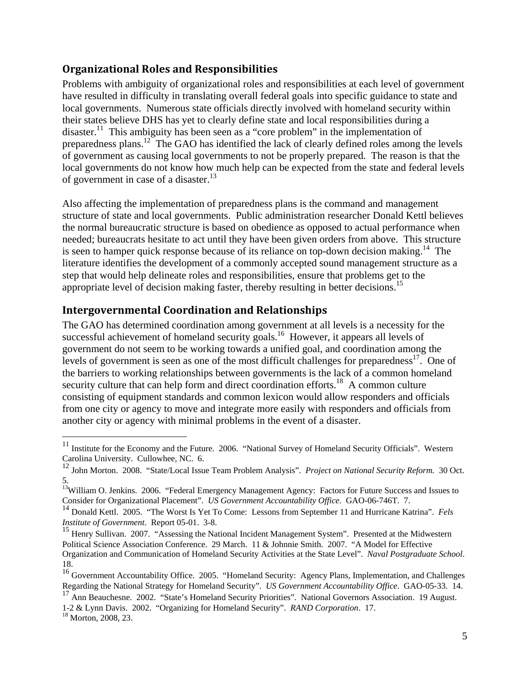#### **Organizational Roles and Responsibilities**

Problems with ambiguity of organizational roles and responsibilities at each level of government have resulted in difficulty in translating overall federal goals into specific guidance to state and local governments. Numerous state officials directly involved with homeland security within their states believe DHS has yet to clearly define state and local responsibilities during a disaster.<sup>11</sup> This ambiguity has been seen as a "core problem" in the implementation of preparedness plans.<sup>12</sup> The GAO has identified the lack of clearly defined roles among the levels of government as causing local governments to not be properly prepared. The reason is that the local governments do not know how much help can be expected from the state and federal levels of government in case of a disaster.<sup>13</sup>

Also affecting the implementation of preparedness plans is the command and management structure of state and local governments. Public administration researcher Donald Kettl believes the normal bureaucratic structure is based on obedience as opposed to actual performance when needed; bureaucrats hesitate to act until they have been given orders from above. This structure is seen to hamper quick response because of its reliance on top-down decision making.<sup>14</sup> The literature identifies the development of a commonly accepted sound management structure as a step that would help delineate roles and responsibilities, ensure that problems get to the appropriate level of decision making faster, thereby resulting in better decisions.<sup>15</sup>

#### **Intergovernmental Coordination and Relationships**

The GAO has determined coordination among government at all levels is a necessity for the successful achievement of homeland security goals.<sup>16</sup> However, it appears all levels of government do not seem to be working towards a unified goal, and coordination among the levels of government is seen as one of the most difficult challenges for preparedness<sup>17</sup>. One of the barriers to working relationships between governments is the lack of a common homeland security culture that can help form and direct coordination efforts.<sup>18</sup> A common culture consisting of equipment standards and common lexicon would allow responders and officials from one city or agency to move and integrate more easily with responders and officials from another city or agency with minimal problems in the event of a disaster.

 $\overline{a}$ 

 $11$  Institute for the Economy and the Future. 2006. "National Survey of Homeland Security Officials". Western Carolina University. Cullowhee, NC. 6.

<sup>12</sup> John Morton. 2008. "State/Local Issue Team Problem Analysis". *Project on National Security Reform.* 30 Oct. 5.

<sup>&</sup>lt;sup>13</sup>William O. Jenkins. 2006. "Federal Emergency Management Agency: Factors for Future Success and Issues to Consider for Organizational Placement". *US Government Accountability Office*. GAO-06-746T. 7.

<sup>14</sup> Donald Kettl. 2005. "The Worst Is Yet To Come: Lessons from September 11 and Hurricane Katrina". *Fels Institute of Government*. Report 05-01. 3-8.

<sup>&</sup>lt;sup>15</sup> Henry Sullivan. 2007. "Assessing the National Incident Management System". Presented at the Midwestern Political Science Association Conference. 29 March. 11 & Johnnie Smith. 2007. "A Model for Effective Organization and Communication of Homeland Security Activities at the State Level". *Naval Postgraduate School*. 18.

<sup>&</sup>lt;sup>16</sup> Government Accountability Office. 2005. "Homeland Security: Agency Plans, Implementation, and Challenges Regarding the National Strategy for Homeland Security". *US Government Accountability Office*. GAO-05-33. 14.

<sup>17</sup> Ann Beauchesne. 2002. "State's Homeland Security Priorities". National Governors Association. 19 August.

<sup>1-2 &</sup>amp; Lynn Davis. 2002. "Organizing for Homeland Security". *RAND Corporation*. 17. 18 Morton, 2008, 23.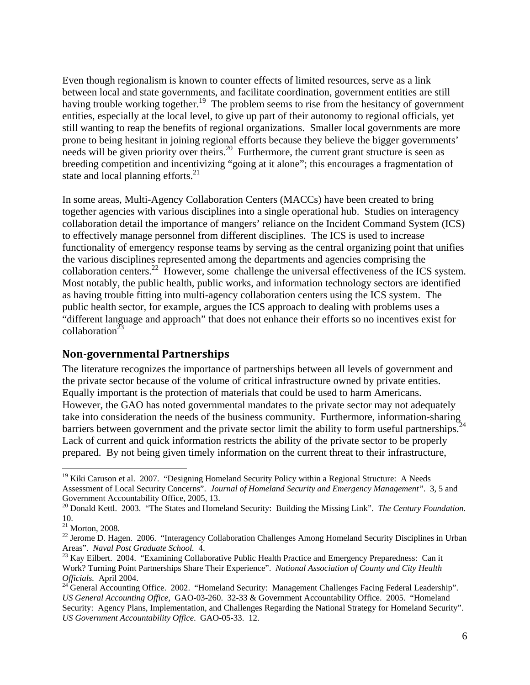Even though regionalism is known to counter effects of limited resources, serve as a link between local and state governments, and facilitate coordination, government entities are still having trouble working together.<sup>19</sup> The problem seems to rise from the hesitancy of government entities, especially at the local level, to give up part of their autonomy to regional officials, yet still wanting to reap the benefits of regional organizations. Smaller local governments are more prone to being hesitant in joining regional efforts because they believe the bigger governments' needs will be given priority over theirs.<sup>20</sup> Furthermore, the current grant structure is seen as breeding competition and incentivizing "going at it alone"; this encourages a fragmentation of state and local planning efforts. $^{21}$ 

In some areas, Multi-Agency Collaboration Centers (MACCs) have been created to bring together agencies with various disciplines into a single operational hub. Studies on interagency collaboration detail the importance of mangers' reliance on the Incident Command System (ICS) to effectively manage personnel from different disciplines. The ICS is used to increase functionality of emergency response teams by serving as the central organizing point that unifies the various disciplines represented among the departments and agencies comprising the collaboration centers.<sup>22</sup> However, some challenge the universal effectiveness of the ICS system. Most notably, the public health, public works, and information technology sectors are identified as having trouble fitting into multi-agency collaboration centers using the ICS system. The public health sector, for example, argues the ICS approach to dealing with problems uses a "different language and approach" that does not enhance their efforts so no incentives exist for collaboration $^{23}$ 

#### **Non‐governmental Partnerships**

The literature recognizes the importance of partnerships between all levels of government and the private sector because of the volume of critical infrastructure owned by private entities. Equally important is the protection of materials that could be used to harm Americans. However, the GAO has noted governmental mandates to the private sector may not adequately take into consideration the needs of the business community. Furthermore, information-sharing barriers between government and the private sector limit the ability to form useful partnerships.<sup>24</sup> Lack of current and quick information restricts the ability of the private sector to be properly prepared. By not being given timely information on the current threat to their infrastructure,

1

<sup>&</sup>lt;sup>19</sup> Kiki Caruson et al. 2007. "Designing Homeland Security Policy within a Regional Structure: A Needs Assessment of Local Security Concerns". *Journal of Homeland Security and Emergency Management"*. 3, 5 and Government Accountability Office, 2005, 13.

<sup>20</sup> Donald Kettl. 2003. "The States and Homeland Security: Building the Missing Link". *The Century Foundation*. 10.

 $21$  Morton, 2008.

<sup>&</sup>lt;sup>22</sup> Jerome D. Hagen. 2006. "Interagency Collaboration Challenges Among Homeland Security Disciplines in Urban Areas". *Naval Post Graduate School.* 4.<br><sup>23</sup> Kay Eilbert. 2004. "Examining Collaborative Public Health Practice and Emergency Preparedness: Can it

Work? Turning Point Partnerships Share Their Experience". *National Association of County and City Health Officials.* April 2004.<br><sup>24</sup> General Accounting Office. 2002. "Homeland Security: Management Challenges Facing Federal Leadership".

*US General Accounting Office*, GAO-03-260. 32-33 & Government Accountability Office. 2005. "Homeland Security: Agency Plans, Implementation, and Challenges Regarding the National Strategy for Homeland Security". *US Government Accountability Office*. GAO-05-33. 12.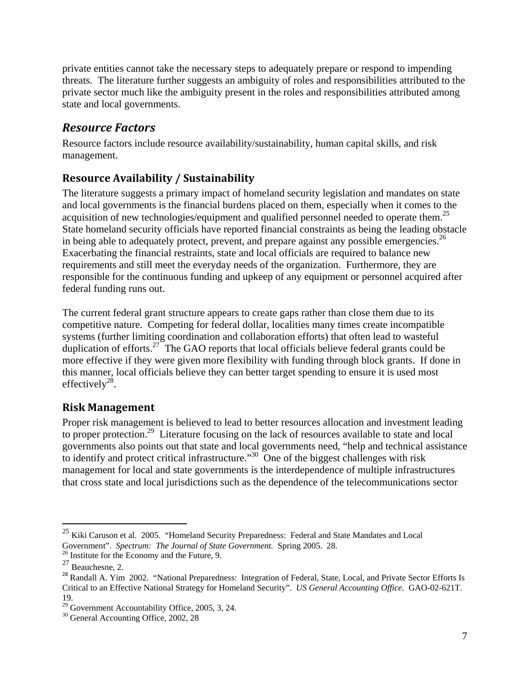private entities cannot take the necessary steps to adequately prepare or respond to impending threats. The literature further suggests an ambiguity of roles and responsibilities attributed to the private sector much like the ambiguity present in the roles and responsibilities attributed among state and local governments.

## *Resource Factors*

Resource factors include resource availability/sustainability, human capital skills, and risk management.

## **Resource Availability / Sustainability**

The literature suggests a primary impact of homeland security legislation and mandates on state and local governments is the financial burdens placed on them, especially when it comes to the acquisition of new technologies/equipment and qualified personnel needed to operate them.<sup>25</sup> State homeland security officials have reported financial constraints as being the leading obstacle in being able to adequately protect, prevent, and prepare against any possible emergencies.<sup>26</sup> Exacerbating the financial restraints, state and local officials are required to balance new requirements and still meet the everyday needs of the organization. Furthermore, they are responsible for the continuous funding and upkeep of any equipment or personnel acquired after federal funding runs out.

The current federal grant structure appears to create gaps rather than close them due to its competitive nature. Competing for federal dollar, localities many times create incompatible systems (further limiting coordination and collaboration efforts) that often lead to wasteful duplication of efforts.<sup>27</sup> The GAO reports that local officials believe federal grants could be more effective if they were given more flexibility with funding through block grants. If done in this manner, local officials believe they can better target spending to ensure it is used most effectively<sup>28</sup>.

### **Risk Management**

Proper risk management is believed to lead to better resources allocation and investment leading to proper protection.<sup>29</sup> Literature focusing on the lack of resources available to state and local governments also points out that state and local governments need, "help and technical assistance to identify and protect critical infrastructure."<sup>30</sup> One of the biggest challenges with risk management for local and state governments is the interdependence of multiple infrastructures that cross state and local jurisdictions such as the dependence of the telecommunications sector

 $\overline{a}$ 

 $^{25}$  Kiki Caruson et al. 2005. "Homeland Security Preparedness: Federal and State Mandates and Local Government". *Spectrum: The Journal of State Government.* Spring 2005. 28. <sup>26</sup> Institute for the Economy and the Future, 9.

 $^{27}$  Beauchesne, 2.

<sup>&</sup>lt;sup>28</sup> Randall A. Yim 2002. "National Preparedness: Integration of Federal, State, Local, and Private Sector Efforts Is Critical to an Effective National Strategy for Homeland Security". *US General Accounting Office.* GAO-02-621T. 19.

<sup>29</sup> Government Accountability Office, 2005, 3, 24.

<sup>&</sup>lt;sup>30</sup> General Accounting Office, 2002, 28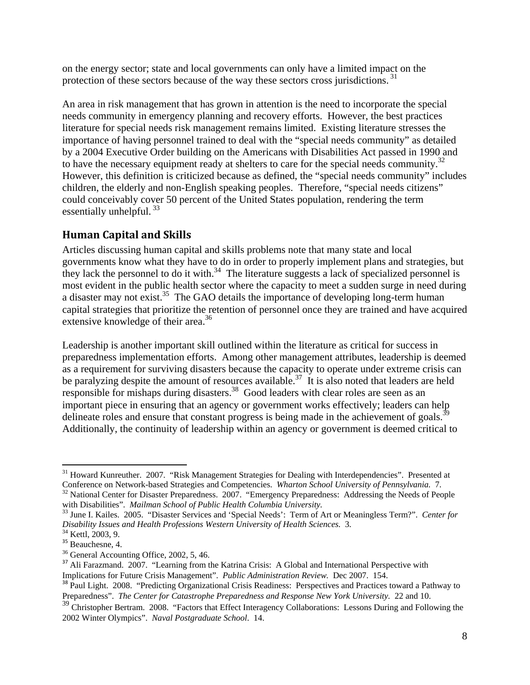on the energy sector; state and local governments can only have a limited impact on the protection of these sectors because of the way these sectors cross jurisdictions.<sup>31</sup>

An area in risk management that has grown in attention is the need to incorporate the special needs community in emergency planning and recovery efforts. However, the best practices literature for special needs risk management remains limited. Existing literature stresses the importance of having personnel trained to deal with the "special needs community" as detailed by a 2004 Executive Order building on the Americans with Disabilities Act passed in 1990 and to have the necessary equipment ready at shelters to care for the special needs community.<sup>32</sup> However, this definition is criticized because as defined, the "special needs community" includes children, the elderly and non-English speaking peoples. Therefore, "special needs citizens" could conceivably cover 50 percent of the United States population, rendering the term essentially unhelpful.  $33$ 

### **Human Capital and Skills**

Articles discussing human capital and skills problems note that many state and local governments know what they have to do in order to properly implement plans and strategies, but they lack the personnel to do it with. $34$  The literature suggests a lack of specialized personnel is most evident in the public health sector where the capacity to meet a sudden surge in need during a disaster may not exist.<sup>35</sup> The GAO details the importance of developing long-term human capital strategies that prioritize the retention of personnel once they are trained and have acquired extensive knowledge of their area.<sup>36</sup>

Leadership is another important skill outlined within the literature as critical for success in preparedness implementation efforts. Among other management attributes, leadership is deemed as a requirement for surviving disasters because the capacity to operate under extreme crisis can be paralyzing despite the amount of resources available.<sup>37</sup> It is also noted that leaders are held responsible for mishaps during disasters.<sup>38</sup> Good leaders with clear roles are seen as an important piece in ensuring that an agency or government works effectively; leaders can help delineate roles and ensure that constant progress is being made in the achievement of goals.<sup>3</sup> Additionally, the continuity of leadership within an agency or government is deemed critical to

 $\overline{a}$  $31$  Howard Kunreuther. 2007. "Risk Management Strategies for Dealing with Interdependencies". Presented at Conference on Network-based Strategies and Competencies. Wharton School University of Pennsylvania. 7.

<sup>&</sup>lt;sup>32</sup> National Center for Disaster Preparedness. 2007. "Emergency Preparedness: Addressing the Needs of People with Disabilities". *Mailman School of Public Health Columbia University.*<br><sup>33</sup> June I. Kailes. 2005. "Disaster Services and 'Special Needs': Term of Art or Meaningless Term?". *Center for* 

*Disability Issues and Health Professions Western University of Health Sciences.* 3. 34 Kettl, 2003, 9.

<sup>&</sup>lt;sup>35</sup> Beauchesne, 4.

<sup>36</sup> General Accounting Office, 2002, 5, 46.

<sup>&</sup>lt;sup>37</sup> Ali Farazmand. 2007. "Learning from the Katrina Crisis: A Global and International Perspective with Implications for Future Crisis Management". *Public Administration Review*. Dec 2007. 154.<br><sup>38</sup> Paul Light. 2008. "Predicting Organizational Crisis Readiness: Perspectives and Practices toward a Pathway to

Preparedness". *The Center for Catastrophe Preparedness and Response New York University.* 22 and 10.

<sup>&</sup>lt;sup>39</sup> Christopher Bertram. 2008. "Factors that Effect Interagency Collaborations: Lessons During and Following the 2002 Winter Olympics". *Naval Postgraduate School*. 14.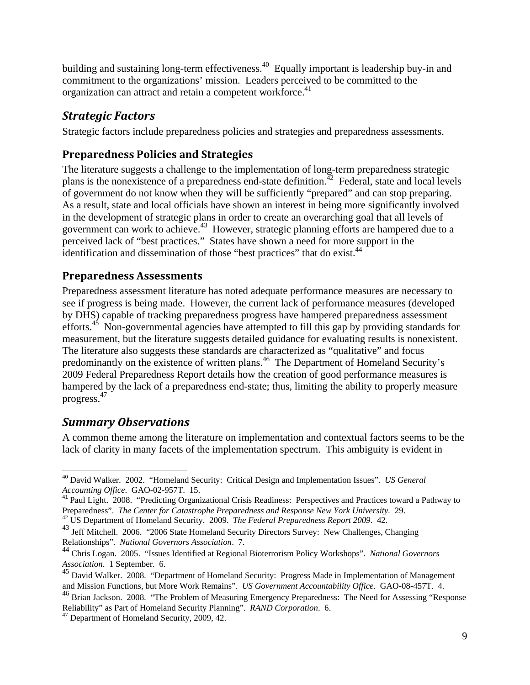building and sustaining long-term effectiveness.<sup>40</sup> Equally important is leadership buy-in and commitment to the organizations' mission. Leaders perceived to be committed to the organization can attract and retain a competent workforce.<sup>41</sup>

## *Strategic Factors*

Strategic factors include preparedness policies and strategies and preparedness assessments.

## **Preparedness Policies and Strategies**

The literature suggests a challenge to the implementation of long-term preparedness strategic plans is the nonexistence of a preparedness end-state definition.<sup> $42$ </sup> Federal, state and local levels of government do not know when they will be sufficiently "prepared" and can stop preparing. As a result, state and local officials have shown an interest in being more significantly involved in the development of strategic plans in order to create an overarching goal that all levels of government can work to achieve.<sup>43</sup> However, strategic planning efforts are hampered due to a perceived lack of "best practices." States have shown a need for more support in the identification and dissemination of those "best practices" that do exist.<sup>44</sup>

#### **Preparedness Assessments**

Preparedness assessment literature has noted adequate performance measures are necessary to see if progress is being made. However, the current lack of performance measures (developed by DHS) capable of tracking preparedness progress have hampered preparedness assessment efforts.<sup>45</sup> Non-governmental agencies have attempted to fill this gap by providing standards for measurement, but the literature suggests detailed guidance for evaluating results is nonexistent. The literature also suggests these standards are characterized as "qualitative" and focus predominantly on the existence of written plans.46 The Department of Homeland Security's 2009 Federal Preparedness Report details how the creation of good performance measures is hampered by the lack of a preparedness end-state; thus, limiting the ability to properly measure progress.47

## *Summary Observations*

A common theme among the literature on implementation and contextual factors seems to be the lack of clarity in many facets of the implementation spectrum. This ambiguity is evident in

 $\overline{a}$ 40 David Walker. 2002. "Homeland Security: Critical Design and Implementation Issues". *US General Accounting Office*. GAO-02-957T. 15.

<sup>&</sup>lt;sup>41</sup> Paul Light. 2008. "Predicting Organizational Crisis Readiness: Perspectives and Practices toward a Pathway to Preparedness". *The Center for Catastrophe Preparedness and Response New York University.* 29. <sup>42</sup> US Department of Homeland Security. 2009. *The Federal Preparedness Report 2009*. 42.

<sup>&</sup>lt;sup>43</sup> Jeff Mitchell. 2006. "2006 State Homeland Security Directors Survey: New Challenges, Changing Relationships". *National Governors Association*. 7.

<sup>44</sup> Chris Logan. 2005. "Issues Identified at Regional Bioterrorism Policy Workshops". *National Governors Association*. 1 September. 6.

<sup>&</sup>lt;sup>45</sup> David Walker. 2008. "Department of Homeland Security: Progress Made in Implementation of Management and Mission Functions, but More Work Remains". *US Government Accountability Office*. GAO-08-457T. 4.

<sup>46</sup> Brian Jackson. 2008. "The Problem of Measuring Emergency Preparedness: The Need for Assessing "Response Reliability" as Part of Homeland Security Planning". *RAND Corporation*. 6. 47 Department of Homeland Security, 2009, 42.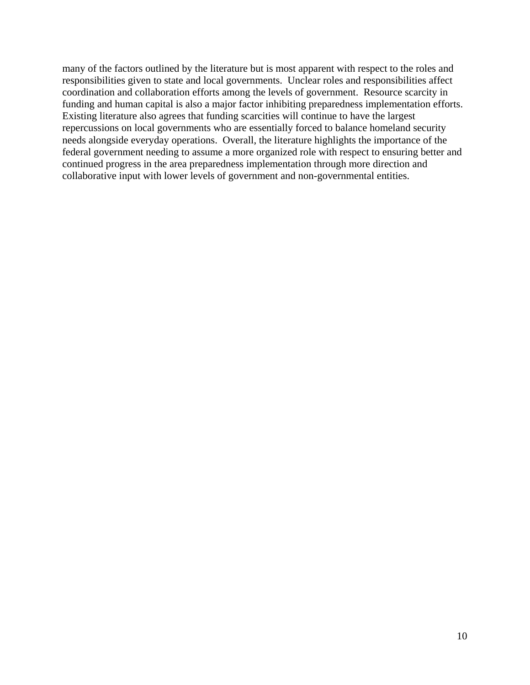many of the factors outlined by the literature but is most apparent with respect to the roles and responsibilities given to state and local governments. Unclear roles and responsibilities affect coordination and collaboration efforts among the levels of government. Resource scarcity in funding and human capital is also a major factor inhibiting preparedness implementation efforts. Existing literature also agrees that funding scarcities will continue to have the largest repercussions on local governments who are essentially forced to balance homeland security needs alongside everyday operations. Overall, the literature highlights the importance of the federal government needing to assume a more organized role with respect to ensuring better and continued progress in the area preparedness implementation through more direction and collaborative input with lower levels of government and non-governmental entities.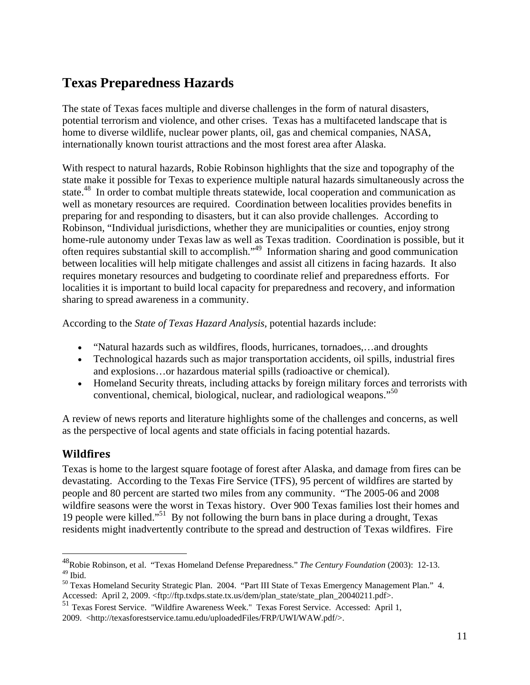# **Texas Preparedness Hazards**

The state of Texas faces multiple and diverse challenges in the form of natural disasters, potential terrorism and violence, and other crises. Texas has a multifaceted landscape that is home to diverse wildlife, nuclear power plants, oil, gas and chemical companies, NASA, internationally known tourist attractions and the most forest area after Alaska.

With respect to natural hazards, Robie Robinson highlights that the size and topography of the state make it possible for Texas to experience multiple natural hazards simultaneously across the state.<sup>48</sup> In order to combat multiple threats statewide, local cooperation and communication as well as monetary resources are required. Coordination between localities provides benefits in preparing for and responding to disasters, but it can also provide challenges. According to Robinson, "Individual jurisdictions, whether they are municipalities or counties, enjoy strong home-rule autonomy under Texas law as well as Texas tradition. Coordination is possible, but it often requires substantial skill to accomplish."49 Information sharing and good communication between localities will help mitigate challenges and assist all citizens in facing hazards. It also requires monetary resources and budgeting to coordinate relief and preparedness efforts. For localities it is important to build local capacity for preparedness and recovery, and information sharing to spread awareness in a community.

According to the *State of Texas Hazard Analysis,* potential hazards include:

- "Natural hazards such as wildfires, floods, hurricanes, tornadoes,…and droughts
- Technological hazards such as major transportation accidents, oil spills, industrial fires and explosions…or hazardous material spills (radioactive or chemical).
- Homeland Security threats, including attacks by foreign military forces and terrorists with conventional, chemical, biological, nuclear, and radiological weapons."<sup>50</sup>

A review of news reports and literature highlights some of the challenges and concerns, as well as the perspective of local agents and state officials in facing potential hazards.

#### **Wildfires**

 $\overline{a}$ 

Texas is home to the largest square footage of forest after Alaska, and damage from fires can be devastating. According to the Texas Fire Service (TFS), 95 percent of wildfires are started by people and 80 percent are started two miles from any community. "The 2005‐06 and 2008 wildfire seasons were the worst in Texas history. Over 900 Texas families lost their homes and 19 people were killed."51 By not following the burn bans in place during a drought, Texas residents might inadvertently contribute to the spread and destruction of Texas wildfires. Fire

<sup>48</sup>Robie Robinson, et al. "Texas Homeland Defense Preparedness." *The Century Foundation* (2003): 12-13.  $^{49}$  Ibid.

<sup>50</sup> Texas Homeland Security Strategic Plan. 2004. "Part III State of Texas Emergency Management Plan." 4.

Accessed: April 2, 2009. <ftp://ftp.txdps.state.tx.us/dem/plan\_state/state\_plan\_20040211.pdf>. 51 Texas Forest Service. "Wildfire Awareness Week." Texas Forest Service. Accessed: April 1, 2009. <http://texasforestservice.tamu.edu/uploadedFiles/FRP/UWI/WAW.pdf/>.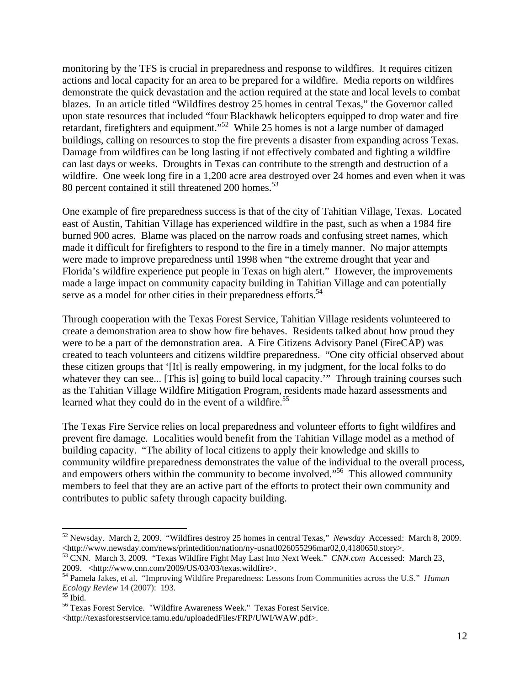monitoring by the TFS is crucial in preparedness and response to wildfires. It requires citizen actions and local capacity for an area to be prepared for a wildfire. Media reports on wildfires demonstrate the quick devastation and the action required at the state and local levels to combat blazes. In an article titled "Wildfires destroy 25 homes in central Texas," the Governor called upon state resources that included "four Blackhawk helicopters equipped to drop water and fire retardant, firefighters and equipment."52 While 25 homes is not a large number of damaged buildings, calling on resources to stop the fire prevents a disaster from expanding across Texas. Damage from wildfires can be long lasting if not effectively combated and fighting a wildfire can last days or weeks. Droughts in Texas can contribute to the strength and destruction of a wildfire. One week long fire in a 1,200 acre area destroyed over 24 homes and even when it was 80 percent contained it still threatened 200 homes.<sup>53</sup>

One example of fire preparedness success is that of the city of Tahitian Village, Texas. Located east of Austin, Tahitian Village has experienced wildfire in the past, such as when a 1984 fire burned 900 acres. Blame was placed on the narrow roads and confusing street names, which made it difficult for firefighters to respond to the fire in a timely manner. No major attempts were made to improve preparedness until 1998 when "the extreme drought that year and Florida's wildfire experience put people in Texas on high alert." However, the improvements made a large impact on community capacity building in Tahitian Village and can potentially serve as a model for other cities in their preparedness efforts.<sup>54</sup>

Through cooperation with the Texas Forest Service, Tahitian Village residents volunteered to create a demonstration area to show how fire behaves. Residents talked about how proud they were to be a part of the demonstration area. A Fire Citizens Advisory Panel (FireCAP) was created to teach volunteers and citizens wildfire preparedness. "One city official observed about these citizen groups that '[It] is really empowering, in my judgment, for the local folks to do whatever they can see... [This is] going to build local capacity." Through training courses such as the Tahitian Village Wildfire Mitigation Program, residents made hazard assessments and learned what they could do in the event of a wildfire.<sup>55</sup>

The Texas Fire Service relies on local preparedness and volunteer efforts to fight wildfires and prevent fire damage. Localities would benefit from the Tahitian Village model as a method of building capacity. "The ability of local citizens to apply their knowledge and skills to community wildfire preparedness demonstrates the value of the individual to the overall process, and empowers others within the community to become involved."<sup>56</sup> This allowed community members to feel that they are an active part of the efforts to protect their own community and contributes to public safety through capacity building.

 $\overline{a}$ 

<sup>52</sup> Newsday. March 2, 2009. "Wildfires destroy 25 homes in central Texas," *Newsday* Accessed: March 8, 2009.

<sup>&</sup>lt;http://www.newsday.com/news/printedition/nation/ny-usnatl026055296mar02,0,4180650.story>. 53 CNN. March 3, 2009. "Texas Wildfire Fight May Last Into Next Week." *CNN.com* Accessed: March 23,

<sup>&</sup>lt;sup>54</sup> Pamela Jakes, et al. "Improving Wildfire Preparedness: Lessons from Communities across the U.S." *Human Ecology Review* 14 (2007): 193.<br><sup>55</sup> Ibid.

<sup>56</sup> Texas Forest Service. "Wildfire Awareness Week." Texas Forest Service.

<sup>&</sup>lt;http://texasforestservice.tamu.edu/uploadedFiles/FRP/UWI/WAW.pdf>.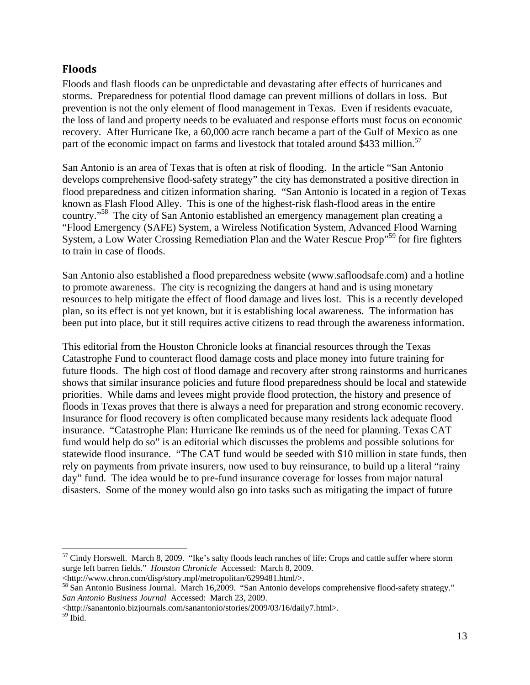#### **Floods**

Floods and flash floods can be unpredictable and devastating after effects of hurricanes and storms. Preparedness for potential flood damage can prevent millions of dollars in loss. But prevention is not the only element of flood management in Texas. Even if residents evacuate, the loss of land and property needs to be evaluated and response efforts must focus on economic recovery. After Hurricane Ike, a 60,000 acre ranch became a part of the Gulf of Mexico as one part of the economic impact on farms and livestock that totaled around \$433 million.<sup>57</sup>

San Antonio is an area of Texas that is often at risk of flooding. In the article "San Antonio develops comprehensive flood-safety strategy" the city has demonstrated a positive direction in flood preparedness and citizen information sharing. "San Antonio is located in a region of Texas known as Flash Flood Alley. This is one of the highest-risk flash-flood areas in the entire country."58 The city of San Antonio established an emergency management plan creating a "Flood Emergency (SAFE) System, a Wireless Notification System, Advanced Flood Warning System, a Low Water Crossing Remediation Plan and the Water Rescue Prop<sup>559</sup> for fire fighters to train in case of floods.

San Antonio also established a flood preparedness website (www.safloodsafe.com) and a hotline to promote awareness. The city is recognizing the dangers at hand and is using monetary resources to help mitigate the effect of flood damage and lives lost. This is a recently developed plan, so its effect is not yet known, but it is establishing local awareness. The information has been put into place, but it still requires active citizens to read through the awareness information.

This editorial from the Houston Chronicle looks at financial resources through the Texas Catastrophe Fund to counteract flood damage costs and place money into future training for future floods. The high cost of flood damage and recovery after strong rainstorms and hurricanes shows that similar insurance policies and future flood preparedness should be local and statewide priorities. While dams and levees might provide flood protection, the history and presence of floods in Texas proves that there is always a need for preparation and strong economic recovery. Insurance for flood recovery is often complicated because many residents lack adequate flood insurance. "Catastrophe Plan: Hurricane Ike reminds us of the need for planning. Texas CAT fund would help do so" is an editorial which discusses the problems and possible solutions for statewide flood insurance. "The CAT fund would be seeded with \$10 million in state funds, then rely on payments from private insurers, now used to buy reinsurance, to build up a literal "rainy day" fund. The idea would be to pre-fund insurance coverage for losses from major natural disasters. Some of the money would also go into tasks such as mitigating the impact of future

<u>.</u>

<sup>&</sup>lt;sup>57</sup> Cindy Horswell. March 8, 2009. "Ike's salty floods leach ranches of life: Crops and cattle suffer where storm surge left barren fields." *Houston Chronicle* Accessed: March 8, 2009.

<sup>&</sup>lt;http://www.chron.com/disp/story.mpl/metropolitan/6299481.html/>.

<sup>&</sup>lt;sup>58</sup> San Antonio Business Journal. March 16,2009. "San Antonio develops comprehensive flood-safety strategy." *San Antonio Business Journal* Accessed: March 23, 2009.

<sup>&</sup>lt;http://sanantonio.bizjournals.com/sanantonio/stories/2009/03/16/daily7.html>.

<sup>59</sup> Ibid.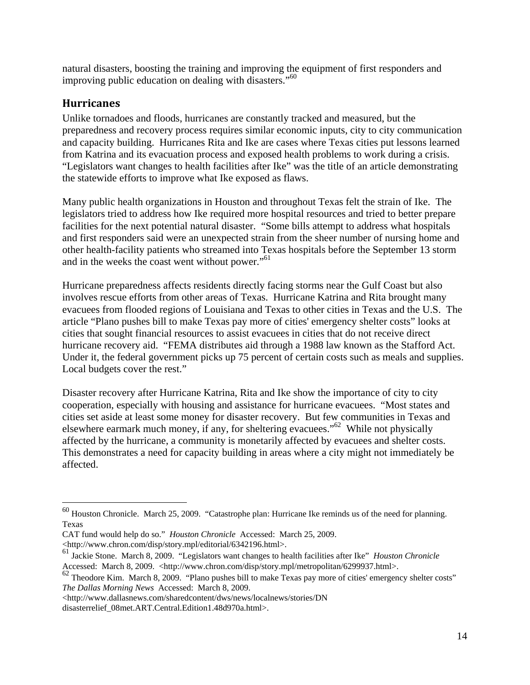natural disasters, boosting the training and improving the equipment of first responders and improving public education on dealing with disasters."60

#### **Hurricanes**

 $\overline{a}$ 

Unlike tornadoes and floods, hurricanes are constantly tracked and measured, but the preparedness and recovery process requires similar economic inputs, city to city communication and capacity building. Hurricanes Rita and Ike are cases where Texas cities put lessons learned from Katrina and its evacuation process and exposed health problems to work during a crisis. "Legislators want changes to health facilities after Ike" was the title of an article demonstrating the statewide efforts to improve what Ike exposed as flaws.

Many public health organizations in Houston and throughout Texas felt the strain of Ike. The legislators tried to address how Ike required more hospital resources and tried to better prepare facilities for the next potential natural disaster. "Some bills attempt to address what hospitals and first responders said were an unexpected strain from the sheer number of nursing home and other health-facility patients who streamed into Texas hospitals before the September 13 storm and in the weeks the coast went without power."<sup>61</sup>

Hurricane preparedness affects residents directly facing storms near the Gulf Coast but also involves rescue efforts from other areas of Texas. Hurricane Katrina and Rita brought many evacuees from flooded regions of Louisiana and Texas to other cities in Texas and the U.S. The article "Plano pushes bill to make Texas pay more of cities' emergency shelter costs" looks at cities that sought financial resources to assist evacuees in cities that do not receive direct hurricane recovery aid. "FEMA distributes aid through a 1988 law known as the Stafford Act. Under it, the federal government picks up 75 percent of certain costs such as meals and supplies. Local budgets cover the rest."

Disaster recovery after Hurricane Katrina, Rita and Ike show the importance of city to city cooperation, especially with housing and assistance for hurricane evacuees. "Most states and cities set aside at least some money for disaster recovery. But few communities in Texas and elsewhere earmark much money, if any, for sheltering evacuees."62 While not physically affected by the hurricane, a community is monetarily affected by evacuees and shelter costs. This demonstrates a need for capacity building in areas where a city might not immediately be affected.

 $60$  Houston Chronicle. March 25, 2009. "Catastrophe plan: Hurricane Ike reminds us of the need for planning. Texas

CAT fund would help do so." *Houston Chronicle* Accessed: March 25, 2009.

<sup>&</sup>lt;http://www.chron.com/disp/story.mpl/editorial/6342196.html>.

<sup>61</sup> Jackie Stone. March 8, 2009. "Legislators want changes to health facilities after Ike" *Houston Chronicle*  Accessed: March 8, 2009. <http://www.chron.com/disp/story.mpl/metropolitan/6299937.html>.

 $62$  Theodore Kim. March 8, 2009. "Plano pushes bill to make Texas pay more of cities' emergency shelter costs" *The Dallas Morning News* Accessed: March 8, 2009.

<sup>&</sup>lt;http://www.dallasnews.com/sharedcontent/dws/news/localnews/stories/DN disasterrelief\_08met.ART.Central.Edition1.48d970a.html>.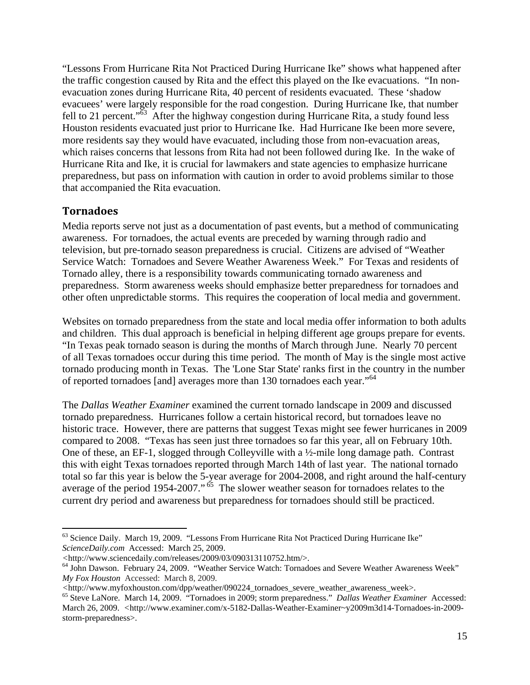"Lessons From Hurricane Rita Not Practiced During Hurricane Ike" shows what happened after the traffic congestion caused by Rita and the effect this played on the Ike evacuations. "In nonevacuation zones during Hurricane Rita, 40 percent of residents evacuated. These 'shadow evacuees' were largely responsible for the road congestion. During Hurricane Ike, that number fell to 21 percent." $\frac{63}{10}$  After the highway congestion during Hurricane Rita, a study found less Houston residents evacuated just prior to Hurricane Ike. Had Hurricane Ike been more severe, more residents say they would have evacuated, including those from non-evacuation areas, which raises concerns that lessons from Rita had not been followed during Ike. In the wake of Hurricane Rita and Ike, it is crucial for lawmakers and state agencies to emphasize hurricane preparedness, but pass on information with caution in order to avoid problems similar to those that accompanied the Rita evacuation.

#### **Tornadoes**

 $\overline{a}$ 

Media reports serve not just as a documentation of past events, but a method of communicating awareness. For tornadoes, the actual events are preceded by warning through radio and television, but pre-tornado season preparedness is crucial. Citizens are advised of "Weather Service Watch: Tornadoes and Severe Weather Awareness Week." For Texas and residents of Tornado alley, there is a responsibility towards communicating tornado awareness and preparedness. Storm awareness weeks should emphasize better preparedness for tornadoes and other often unpredictable storms. This requires the cooperation of local media and government.

Websites on tornado preparedness from the state and local media offer information to both adults and children. This dual approach is beneficial in helping different age groups prepare for events. "In Texas peak tornado season is during the months of March through June. Nearly 70 percent of all Texas tornadoes occur during this time period. The month of May is the single most active tornado producing month in Texas. The 'Lone Star State' ranks first in the country in the number of reported tornadoes [and] averages more than 130 tornadoes each year."64

The *Dallas Weather Examiner* examined the current tornado landscape in 2009 and discussed tornado preparedness. Hurricanes follow a certain historical record, but tornadoes leave no historic trace. However, there are patterns that suggest Texas might see fewer hurricanes in 2009 compared to 2008. "Texas has seen just three tornadoes so far this year, all on February 10th. One of these, an EF-1, slogged through Colleyville with a ½-mile long damage path. Contrast this with eight Texas tornadoes reported through March 14th of last year. The national tornado total so far this year is below the 5-year average for 2004-2008, and right around the half-century average of the period 1954-2007." <sup>65</sup> The slower weather season for tornadoes relates to the current dry period and awareness but preparedness for tornadoes should still be practiced.

<sup>&</sup>lt;sup>63</sup> Science Daily. March 19, 2009. "Lessons From Hurricane Rita Not Practiced During Hurricane Ike" *ScienceDaily.com* Accessed: March 25, 2009.

*<sup>&</sup>lt;*http://www.sciencedaily.com/releases/2009/03/090313110752.htm/>.

<sup>64</sup> John Dawson. February 24, 2009. "Weather Service Watch: Tornadoes and Severe Weather Awareness Week" *My Fox Houston* Accessed: March 8, 2009.<br>
<http://www.myfoxhouston.com/dpp/weather/090224 tornadoes severe weather awareness week>.

<sup>&</sup>lt;sup>65</sup> Steve LaNore. March 14, 2009. "Tornadoes in 2009; storm preparedness." *Dallas Weather Examiner* Accessed: March 26, 2009. *<*http://www.examiner.com/x-5182-Dallas-Weather-Examiner~y2009m3d14-Tornadoes-in-2009 storm-preparedness>.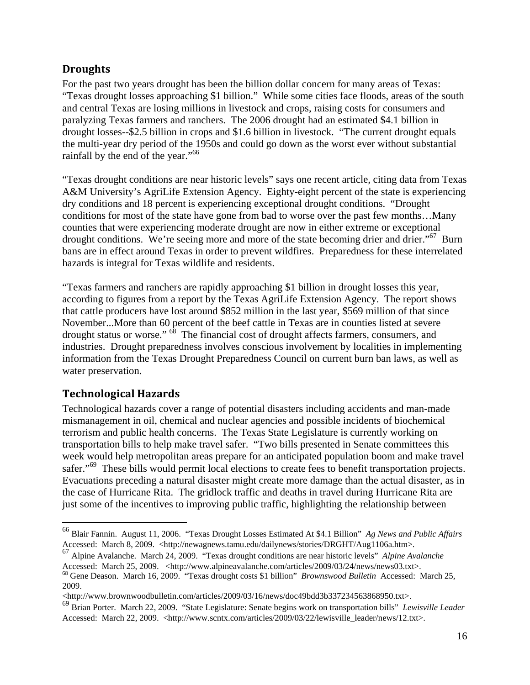#### **Droughts**

For the past two years drought has been the billion dollar concern for many areas of Texas: "Texas drought losses approaching \$1 billion." While some cities face floods, areas of the south and central Texas are losing millions in livestock and crops, raising costs for consumers and paralyzing Texas farmers and ranchers. The 2006 drought had an estimated \$4.1 billion in drought losses--\$2.5 billion in crops and \$1.6 billion in livestock. "The current drought equals the multi-year dry period of the 1950s and could go down as the worst ever without substantial rainfall by the end of the year."66

"Texas drought conditions are near historic levels" says one recent article, citing data from Texas A&M University's AgriLife Extension Agency. Eighty-eight percent of the state is experiencing dry conditions and 18 percent is experiencing exceptional drought conditions. "Drought conditions for most of the state have gone from bad to worse over the past few months…Many counties that were experiencing moderate drought are now in either extreme or exceptional drought conditions. We're seeing more and more of the state becoming drier and drier."<sup>67</sup> Burn bans are in effect around Texas in order to prevent wildfires. Preparedness for these interrelated hazards is integral for Texas wildlife and residents.

"Texas farmers and ranchers are rapidly approaching \$1 billion in drought losses this year, according to figures from a report by the Texas AgriLife Extension Agency. The report shows that cattle producers have lost around \$852 million in the last year, \$569 million of that since November...More than 60 percent of the beef cattle in Texas are in counties listed at severe drought status or worse."  $^{68}$  The financial cost of drought affects farmers, consumers, and industries. Drought preparedness involves conscious involvement by localities in implementing information from the Texas Drought Preparedness Council on current burn ban laws, as well as water preservation.

### **Technological Hazards**

1

Technological hazards cover a range of potential disasters including accidents and man-made mismanagement in oil, chemical and nuclear agencies and possible incidents of biochemical terrorism and public health concerns. The Texas State Legislature is currently working on transportation bills to help make travel safer. "Two bills presented in Senate committees this week would help metropolitan areas prepare for an anticipated population boom and make travel safer."<sup>69</sup> These bills would permit local elections to create fees to benefit transportation projects. Evacuations preceding a natural disaster might create more damage than the actual disaster, as in the case of Hurricane Rita. The gridlock traffic and deaths in travel during Hurricane Rita are just some of the incentives to improving public traffic, highlighting the relationship between

<sup>66</sup> Blair Fannin. August 11, 2006. "Texas Drought Losses Estimated At \$4.1 Billion" *Ag News and Public Affairs*  Accessed: March 8, 2009. <http://newagnews.tamu.edu/dailynews/stories/DRGHT/Aug1106a.htm>.

<sup>67</sup> Alpine Avalanche. March 24, 2009. "Texas drought conditions are near historic levels" *Alpine Avalanche*  Accessed: March 25, 2009. <http://www.alpineavalanche.com/articles/2009/03/24/news/news03.txt>. 68 Gene Deason. March 16, 2009. "Texas drought costs \$1 billion" *Brownswood Bulletin* Accessed: March 25,

<sup>2009.</sup> 

 $\lt$ http://www.brownwoodbulletin.com/articles/2009/03/16/news/doc49bdd3b337234563868950.txt $\gt$ .

<sup>69</sup> Brian Porter. March 22, 2009. "State Legislature: Senate begins work on transportation bills" *Lewisville Leader*  Accessed: March 22, 2009. <http://www.scntx.com/articles/2009/03/22/lewisville\_leader/news/12.txt>.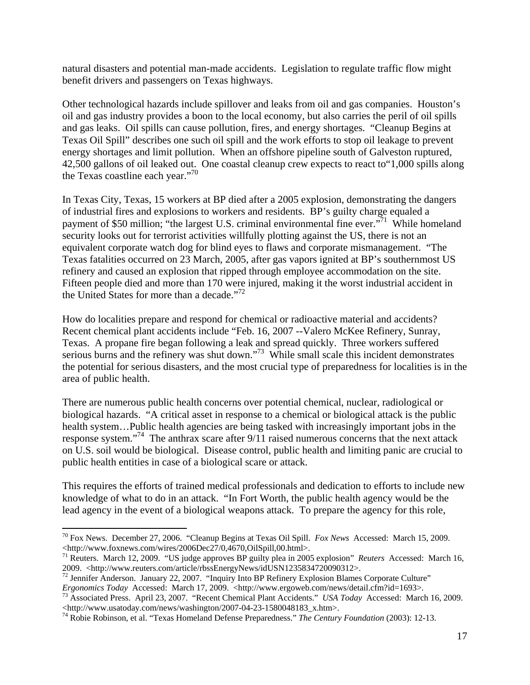natural disasters and potential man-made accidents. Legislation to regulate traffic flow might benefit drivers and passengers on Texas highways.

Other technological hazards include spillover and leaks from oil and gas companies. Houston's oil and gas industry provides a boon to the local economy, but also carries the peril of oil spills and gas leaks. Oil spills can cause pollution, fires, and energy shortages. "Cleanup Begins at Texas Oil Spill" describes one such oil spill and the work efforts to stop oil leakage to prevent energy shortages and limit pollution. When an offshore pipeline south of Galveston ruptured, 42,500 gallons of oil leaked out. One coastal cleanup crew expects to react to"1,000 spills along the Texas coastline each year."70

In Texas City, Texas, 15 workers at BP died after a 2005 explosion, demonstrating the dangers of industrial fires and explosions to workers and residents. BP's guilty charge equaled a payment of \$50 million; "the largest U.S. criminal environmental fine ever."<sup>71</sup> While homeland security looks out for terrorist activities willfully plotting against the US, there is not an equivalent corporate watch dog for blind eyes to flaws and corporate mismanagement. "The Texas fatalities occurred on 23 March, 2005, after gas vapors ignited at BP's southernmost US refinery and caused an explosion that ripped through employee accommodation on the site. Fifteen people died and more than 170 were injured, making it the worst industrial accident in the United States for more than a decade."<sup>72</sup>

How do localities prepare and respond for chemical or radioactive material and accidents? Recent chemical plant accidents include "Feb. 16, 2007 --Valero McKee Refinery, Sunray, Texas. A propane fire began following a leak and spread quickly. Three workers suffered serious burns and the refinery was shut down."<sup>73</sup> While small scale this incident demonstrates the potential for serious disasters, and the most crucial type of preparedness for localities is in the area of public health.

There are numerous public health concerns over potential chemical, nuclear, radiological or biological hazards. "A critical asset in response to a chemical or biological attack is the public health system...Public health agencies are being tasked with increasingly important jobs in the response system."74 The anthrax scare after 9/11 raised numerous concerns that the next attack on U.S. soil would be biological. Disease control, public health and limiting panic are crucial to public health entities in case of a biological scare or attack.

This requires the efforts of trained medical professionals and dedication to efforts to include new knowledge of what to do in an attack. "In Fort Worth, the public health agency would be the lead agency in the event of a biological weapons attack. To prepare the agency for this role,

1

<sup>70</sup> Fox News. December 27, 2006. "Cleanup Begins at Texas Oil Spill. *Fox News* Accessed: March 15, 2009. <http://www.foxnews.com/wires/2006Dec27/0,4670,OilSpill,00.html>. 71 Reuters. March 12, 2009. "US judge approves BP guilty plea in 2005 explosion" *Reuters* Accessed: March 16,

<sup>2009. &</sup>lt;http://www.reuters.com/article/rbssEnergyNews/idUSN1235834720090312>.

<sup>&</sup>lt;sup>72</sup> Jennifer Anderson. January 22, 2007. "Inquiry Into BP Refinery Explosion Blames Corporate Culture" *Ergonomics Today* Accessed: March 17, 2009. <http://www.ergoweb.com/news/detail.cfm?id=1693>.<br><sup>73</sup> Associated Press. April 23, 2007. "Recent Chemical Plant Accidents." *USA Today* Accessed: March 16, 2009.

<sup>&</sup>lt;http://www.usatoday.com/news/washington/2007-04-23-1580048183\_x.htm>. 74 Robie Robinson, et al. "Texas Homeland Defense Preparedness." *The Century Foundation* (2003): 12-13.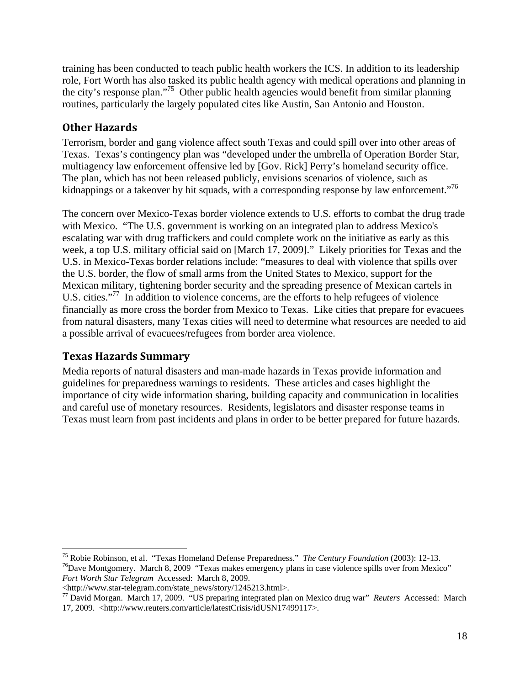training has been conducted to teach public health workers the ICS. In addition to its leadership role, Fort Worth has also tasked its public health agency with medical operations and planning in the city's response plan."75 Other public health agencies would benefit from similar planning routines, particularly the largely populated cites like Austin, San Antonio and Houston.

#### **Other Hazards**

Terrorism, border and gang violence affect south Texas and could spill over into other areas of Texas. Texas's contingency plan was "developed under the umbrella of Operation Border Star, multiagency law enforcement offensive led by [Gov. Rick] Perry's homeland security office. The plan, which has not been released publicly, envisions scenarios of violence, such as kidnappings or a takeover by hit squads, with a corresponding response by law enforcement."<sup>76</sup>

The concern over Mexico-Texas border violence extends to U.S. efforts to combat the drug trade with Mexico. "The U.S. government is working on an integrated plan to address Mexico's escalating war with drug traffickers and could complete work on the initiative as early as this week, a top U.S. military official said on [March 17, 2009]." Likely priorities for Texas and the U.S. in Mexico-Texas border relations include: "measures to deal with violence that spills over the U.S. border, the flow of small arms from the United States to Mexico, support for the Mexican military, tightening border security and the spreading presence of Mexican cartels in U.S. cities."<sup>77</sup> In addition to violence concerns, are the efforts to help refugees of violence financially as more cross the border from Mexico to Texas. Like cities that prepare for evacuees from natural disasters, many Texas cities will need to determine what resources are needed to aid a possible arrival of evacuees/refugees from border area violence.

#### **Texas Hazards Summary**

 $\overline{a}$ 

Media reports of natural disasters and man-made hazards in Texas provide information and guidelines for preparedness warnings to residents. These articles and cases highlight the importance of city wide information sharing, building capacity and communication in localities and careful use of monetary resources. Residents, legislators and disaster response teams in Texas must learn from past incidents and plans in order to be better prepared for future hazards.

<sup>75</sup> Robie Robinson, et al. "Texas Homeland Defense Preparedness." *The Century Foundation* (2003): 12-13.<br><sup>76</sup>Dave Montgomery. March 8, 2009 "Texas makes emergency plans in case violence spills over from Mexico" *Fort Worth Star Telegram* Accessed: March 8, 2009.

<sup>&</sup>lt;http://www.star-telegram.com/state\_news/story/1245213.html>.

<sup>77</sup> David Morgan. March 17, 2009. "US preparing integrated plan on Mexico drug war" *Reuters* Accessed: March 17, 2009. <http://www.reuters.com/article/latestCrisis/idUSN17499117>.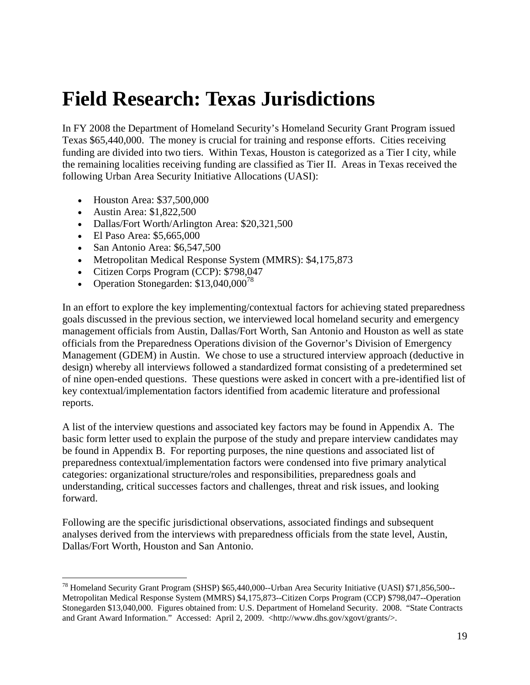# **Field Research: Texas Jurisdictions**

In FY 2008 the Department of Homeland Security's Homeland Security Grant Program issued Texas \$65,440,000. The money is crucial for training and response efforts. Cities receiving funding are divided into two tiers. Within Texas, Houston is categorized as a Tier I city, while the remaining localities receiving funding are classified as Tier II. Areas in Texas received the following Urban Area Security Initiative Allocations (UASI):

- Houston Area: \$37,500,000
- Austin Area: \$1,822,500
- Dallas/Fort Worth/Arlington Area: \$20,321,500
- El Paso Area: \$5,665,000

 $\overline{a}$ 

- San Antonio Area: \$6,547,500
- Metropolitan Medical Response System (MMRS): \$4,175,873
- Citizen Corps Program (CCP): \$798,047
- Operation Stonegarden:  $$13,040,000^{78}$

In an effort to explore the key implementing/contextual factors for achieving stated preparedness goals discussed in the previous section, we interviewed local homeland security and emergency management officials from Austin, Dallas/Fort Worth, San Antonio and Houston as well as state officials from the Preparedness Operations division of the Governor's Division of Emergency Management (GDEM) in Austin. We chose to use a structured interview approach (deductive in design) whereby all interviews followed a standardized format consisting of a predetermined set of nine open-ended questions. These questions were asked in concert with a pre-identified list of key contextual/implementation factors identified from academic literature and professional reports.

A list of the interview questions and associated key factors may be found in Appendix A. The basic form letter used to explain the purpose of the study and prepare interview candidates may be found in Appendix B. For reporting purposes, the nine questions and associated list of preparedness contextual/implementation factors were condensed into five primary analytical categories: organizational structure/roles and responsibilities, preparedness goals and understanding, critical successes factors and challenges, threat and risk issues, and looking forward.

Following are the specific jurisdictional observations, associated findings and subsequent analyses derived from the interviews with preparedness officials from the state level, Austin, Dallas/Fort Worth, Houston and San Antonio.

<sup>78</sup> Homeland Security Grant Program (SHSP) \$65,440,000--Urban Area Security Initiative (UASI) \$71,856,500-- Metropolitan Medical Response System (MMRS) \$4,175,873--Citizen Corps Program (CCP) \$798,047--Operation Stonegarden \$13,040,000. Figures obtained from: U.S. Department of Homeland Security. 2008. "State Contracts and Grant Award Information." Accessed: April 2, 2009. <http://www.dhs.gov/xgovt/grants/>.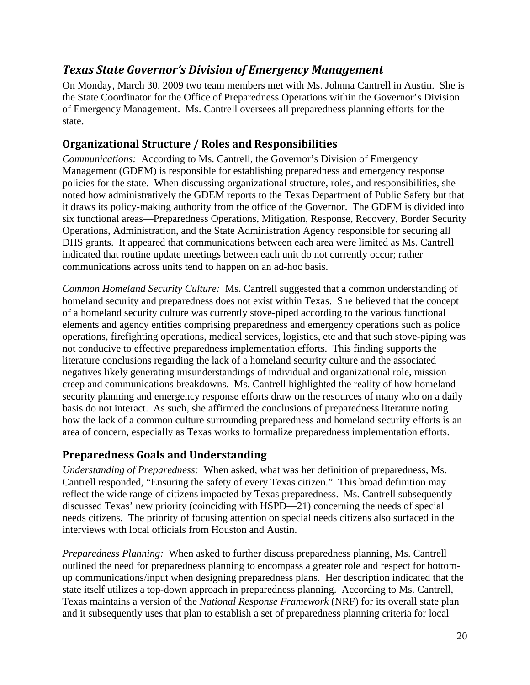## *Texas State Governor's Division of Emergency Management*

On Monday, March 30, 2009 two team members met with Ms. Johnna Cantrell in Austin. She is the State Coordinator for the Office of Preparedness Operations within the Governor's Division of Emergency Management. Ms. Cantrell oversees all preparedness planning efforts for the state.

#### **Organizational Structure / Roles and Responsibilities**

*Communications:* According to Ms. Cantrell, the Governor's Division of Emergency Management (GDEM) is responsible for establishing preparedness and emergency response policies for the state. When discussing organizational structure, roles, and responsibilities, she noted how administratively the GDEM reports to the Texas Department of Public Safety but that it draws its policy-making authority from the office of the Governor. The GDEM is divided into six functional areas—Preparedness Operations, Mitigation, Response, Recovery, Border Security Operations, Administration, and the State Administration Agency responsible for securing all DHS grants. It appeared that communications between each area were limited as Ms. Cantrell indicated that routine update meetings between each unit do not currently occur; rather communications across units tend to happen on an ad-hoc basis.

*Common Homeland Security Culture:* Ms. Cantrell suggested that a common understanding of homeland security and preparedness does not exist within Texas. She believed that the concept of a homeland security culture was currently stove-piped according to the various functional elements and agency entities comprising preparedness and emergency operations such as police operations, firefighting operations, medical services, logistics, etc and that such stove-piping was not conducive to effective preparedness implementation efforts. This finding supports the literature conclusions regarding the lack of a homeland security culture and the associated negatives likely generating misunderstandings of individual and organizational role, mission creep and communications breakdowns. Ms. Cantrell highlighted the reality of how homeland security planning and emergency response efforts draw on the resources of many who on a daily basis do not interact. As such, she affirmed the conclusions of preparedness literature noting how the lack of a common culture surrounding preparedness and homeland security efforts is an area of concern, especially as Texas works to formalize preparedness implementation efforts.

#### **Preparedness Goals and Understanding**

*Understanding of Preparedness:* When asked, what was her definition of preparedness, Ms. Cantrell responded, "Ensuring the safety of every Texas citizen." This broad definition may reflect the wide range of citizens impacted by Texas preparedness. Ms. Cantrell subsequently discussed Texas' new priority (coinciding with HSPD—21) concerning the needs of special needs citizens. The priority of focusing attention on special needs citizens also surfaced in the interviews with local officials from Houston and Austin.

*Preparedness Planning:* When asked to further discuss preparedness planning, Ms. Cantrell outlined the need for preparedness planning to encompass a greater role and respect for bottomup communications/input when designing preparedness plans. Her description indicated that the state itself utilizes a top-down approach in preparedness planning. According to Ms. Cantrell, Texas maintains a version of the *National Response Framework* (NRF) for its overall state plan and it subsequently uses that plan to establish a set of preparedness planning criteria for local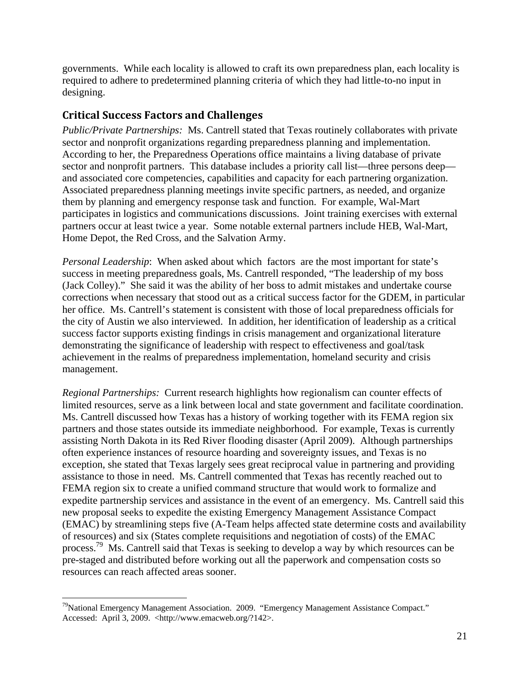governments. While each locality is allowed to craft its own preparedness plan, each locality is required to adhere to predetermined planning criteria of which they had little-to-no input in designing.

#### **Critical Success Factors and Challenges**

*Public/Private Partnerships:* Ms. Cantrell stated that Texas routinely collaborates with private sector and nonprofit organizations regarding preparedness planning and implementation. According to her, the Preparedness Operations office maintains a living database of private sector and nonprofit partners. This database includes a priority call list—three persons deep and associated core competencies, capabilities and capacity for each partnering organization. Associated preparedness planning meetings invite specific partners, as needed, and organize them by planning and emergency response task and function. For example, Wal-Mart participates in logistics and communications discussions. Joint training exercises with external partners occur at least twice a year. Some notable external partners include HEB, Wal-Mart, Home Depot, the Red Cross, and the Salvation Army.

*Personal Leadership*: When asked about which factors are the most important for state's success in meeting preparedness goals, Ms. Cantrell responded, "The leadership of my boss (Jack Colley)." She said it was the ability of her boss to admit mistakes and undertake course corrections when necessary that stood out as a critical success factor for the GDEM, in particular her office. Ms. Cantrell's statement is consistent with those of local preparedness officials for the city of Austin we also interviewed. In addition, her identification of leadership as a critical success factor supports existing findings in crisis management and organizational literature demonstrating the significance of leadership with respect to effectiveness and goal/task achievement in the realms of preparedness implementation, homeland security and crisis management.

*Regional Partnerships:* Current research highlights how regionalism can counter effects of limited resources, serve as a link between local and state government and facilitate coordination. Ms. Cantrell discussed how Texas has a history of working together with its FEMA region six partners and those states outside its immediate neighborhood. For example, Texas is currently assisting North Dakota in its Red River flooding disaster (April 2009). Although partnerships often experience instances of resource hoarding and sovereignty issues, and Texas is no exception, she stated that Texas largely sees great reciprocal value in partnering and providing assistance to those in need. Ms. Cantrell commented that Texas has recently reached out to FEMA region six to create a unified command structure that would work to formalize and expedite partnership services and assistance in the event of an emergency. Ms. Cantrell said this new proposal seeks to expedite the existing Emergency Management Assistance Compact (EMAC) by streamlining steps five (A-Team helps affected state determine costs and availability of resources) and six (States complete requisitions and negotiation of costs) of the EMAC process.79 Ms. Cantrell said that Texas is seeking to develop a way by which resources can be pre-staged and distributed before working out all the paperwork and compensation costs so resources can reach affected areas sooner.

 $\overline{a}$ 

 $79$ National Emergency Management Association. 2009. "Emergency Management Assistance Compact." Accessed: April 3, 2009. <http://www.emacweb.org/?142>.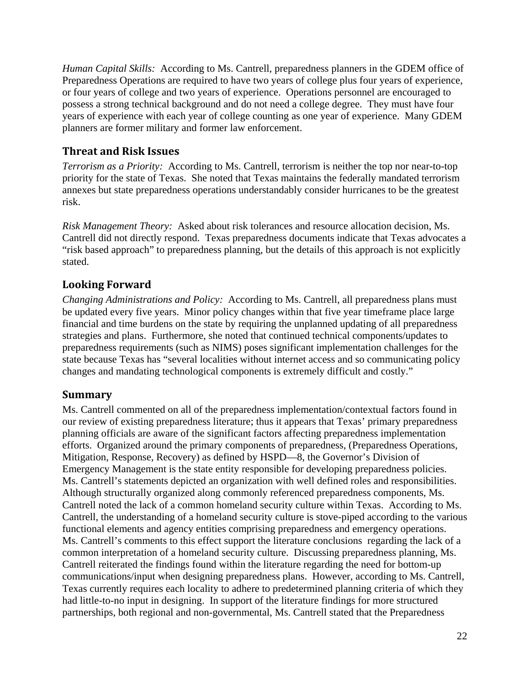*Human Capital Skills:* According to Ms. Cantrell, preparedness planners in the GDEM office of Preparedness Operations are required to have two years of college plus four years of experience, or four years of college and two years of experience. Operations personnel are encouraged to possess a strong technical background and do not need a college degree. They must have four years of experience with each year of college counting as one year of experience. Many GDEM planners are former military and former law enforcement.

#### **Threat and Risk Issues**

*Terrorism as a Priority:* According to Ms. Cantrell, terrorism is neither the top nor near-to-top priority for the state of Texas. She noted that Texas maintains the federally mandated terrorism annexes but state preparedness operations understandably consider hurricanes to be the greatest risk.

*Risk Management Theory:* Asked about risk tolerances and resource allocation decision, Ms. Cantrell did not directly respond. Texas preparedness documents indicate that Texas advocates a "risk based approach" to preparedness planning, but the details of this approach is not explicitly stated.

### **Looking Forward**

*Changing Administrations and Policy:* According to Ms. Cantrell, all preparedness plans must be updated every five years. Minor policy changes within that five year timeframe place large financial and time burdens on the state by requiring the unplanned updating of all preparedness strategies and plans. Furthermore, she noted that continued technical components/updates to preparedness requirements (such as NIMS) poses significant implementation challenges for the state because Texas has "several localities without internet access and so communicating policy changes and mandating technological components is extremely difficult and costly."

#### **Summary**

Ms. Cantrell commented on all of the preparedness implementation/contextual factors found in our review of existing preparedness literature; thus it appears that Texas' primary preparedness planning officials are aware of the significant factors affecting preparedness implementation efforts. Organized around the primary components of preparedness, (Preparedness Operations, Mitigation, Response, Recovery) as defined by HSPD—8, the Governor's Division of Emergency Management is the state entity responsible for developing preparedness policies. Ms. Cantrell's statements depicted an organization with well defined roles and responsibilities. Although structurally organized along commonly referenced preparedness components, Ms. Cantrell noted the lack of a common homeland security culture within Texas. According to Ms. Cantrell, the understanding of a homeland security culture is stove-piped according to the various functional elements and agency entities comprising preparedness and emergency operations. Ms. Cantrell's comments to this effect support the literature conclusions regarding the lack of a common interpretation of a homeland security culture. Discussing preparedness planning, Ms. Cantrell reiterated the findings found within the literature regarding the need for bottom-up communications/input when designing preparedness plans. However, according to Ms. Cantrell, Texas currently requires each locality to adhere to predetermined planning criteria of which they had little-to-no input in designing. In support of the literature findings for more structured partnerships, both regional and non-governmental, Ms. Cantrell stated that the Preparedness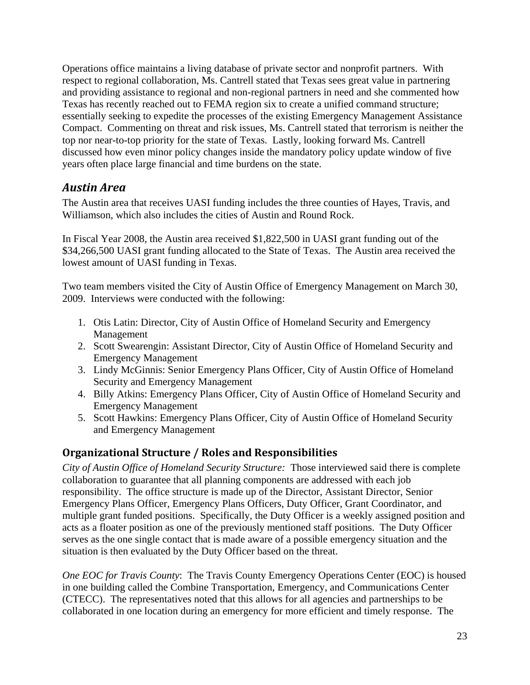Operations office maintains a living database of private sector and nonprofit partners. With respect to regional collaboration, Ms. Cantrell stated that Texas sees great value in partnering and providing assistance to regional and non-regional partners in need and she commented how Texas has recently reached out to FEMA region six to create a unified command structure; essentially seeking to expedite the processes of the existing Emergency Management Assistance Compact. Commenting on threat and risk issues, Ms. Cantrell stated that terrorism is neither the top nor near-to-top priority for the state of Texas. Lastly, looking forward Ms. Cantrell discussed how even minor policy changes inside the mandatory policy update window of five years often place large financial and time burdens on the state.

## *Austin Area*

The Austin area that receives UASI funding includes the three counties of Hayes, Travis, and Williamson, which also includes the cities of Austin and Round Rock.

In Fiscal Year 2008, the Austin area received \$1,822,500 in UASI grant funding out of the \$34,266,500 UASI grant funding allocated to the State of Texas. The Austin area received the lowest amount of UASI funding in Texas.

Two team members visited the City of Austin Office of Emergency Management on March 30, 2009. Interviews were conducted with the following:

- 1. Otis Latin: Director, City of Austin Office of Homeland Security and Emergency Management
- 2. Scott Swearengin: Assistant Director, City of Austin Office of Homeland Security and Emergency Management
- 3. Lindy McGinnis: Senior Emergency Plans Officer, City of Austin Office of Homeland Security and Emergency Management
- 4. Billy Atkins: Emergency Plans Officer, City of Austin Office of Homeland Security and Emergency Management
- 5. Scott Hawkins: Emergency Plans Officer, City of Austin Office of Homeland Security and Emergency Management

### **Organizational Structure / Roles and Responsibilities**

*City of Austin Office of Homeland Security Structure:* Those interviewed said there is complete collaboration to guarantee that all planning components are addressed with each job responsibility. The office structure is made up of the Director, Assistant Director, Senior Emergency Plans Officer, Emergency Plans Officers, Duty Officer, Grant Coordinator, and multiple grant funded positions. Specifically, the Duty Officer is a weekly assigned position and acts as a floater position as one of the previously mentioned staff positions. The Duty Officer serves as the one single contact that is made aware of a possible emergency situation and the situation is then evaluated by the Duty Officer based on the threat.

*One EOC for Travis County*: The Travis County Emergency Operations Center (EOC) is housed in one building called the Combine Transportation, Emergency, and Communications Center (CTECC). The representatives noted that this allows for all agencies and partnerships to be collaborated in one location during an emergency for more efficient and timely response. The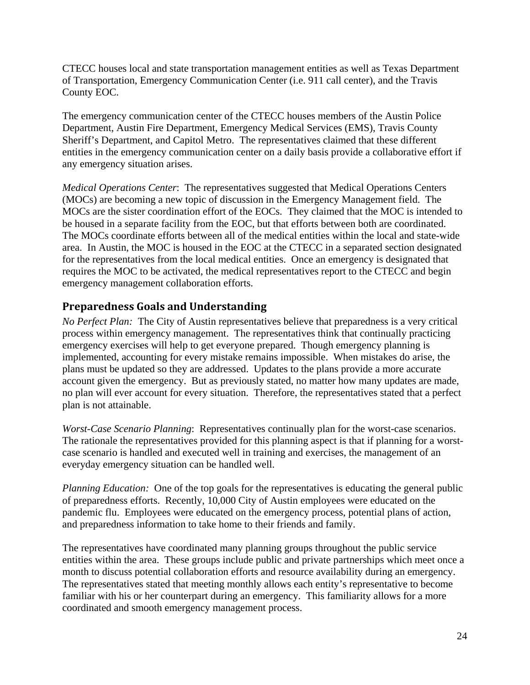CTECC houses local and state transportation management entities as well as Texas Department of Transportation, Emergency Communication Center (i.e. 911 call center), and the Travis County EOC.

The emergency communication center of the CTECC houses members of the Austin Police Department, Austin Fire Department, Emergency Medical Services (EMS), Travis County Sheriff's Department, and Capitol Metro. The representatives claimed that these different entities in the emergency communication center on a daily basis provide a collaborative effort if any emergency situation arises.

*Medical Operations Center*: The representatives suggested that Medical Operations Centers (MOCs) are becoming a new topic of discussion in the Emergency Management field. The MOCs are the sister coordination effort of the EOCs. They claimed that the MOC is intended to be housed in a separate facility from the EOC, but that efforts between both are coordinated. The MOCs coordinate efforts between all of the medical entities within the local and state-wide area. In Austin, the MOC is housed in the EOC at the CTECC in a separated section designated for the representatives from the local medical entities. Once an emergency is designated that requires the MOC to be activated, the medical representatives report to the CTECC and begin emergency management collaboration efforts.

#### **Preparedness Goals and Understanding**

*No Perfect Plan:* The City of Austin representatives believe that preparedness is a very critical process within emergency management. The representatives think that continually practicing emergency exercises will help to get everyone prepared. Though emergency planning is implemented, accounting for every mistake remains impossible. When mistakes do arise, the plans must be updated so they are addressed. Updates to the plans provide a more accurate account given the emergency. But as previously stated, no matter how many updates are made, no plan will ever account for every situation. Therefore, the representatives stated that a perfect plan is not attainable.

*Worst-Case Scenario Planning*: Representatives continually plan for the worst-case scenarios. The rationale the representatives provided for this planning aspect is that if planning for a worstcase scenario is handled and executed well in training and exercises, the management of an everyday emergency situation can be handled well.

*Planning Education:* One of the top goals for the representatives is educating the general public of preparedness efforts. Recently, 10,000 City of Austin employees were educated on the pandemic flu. Employees were educated on the emergency process, potential plans of action, and preparedness information to take home to their friends and family.

The representatives have coordinated many planning groups throughout the public service entities within the area. These groups include public and private partnerships which meet once a month to discuss potential collaboration efforts and resource availability during an emergency. The representatives stated that meeting monthly allows each entity's representative to become familiar with his or her counterpart during an emergency. This familiarity allows for a more coordinated and smooth emergency management process.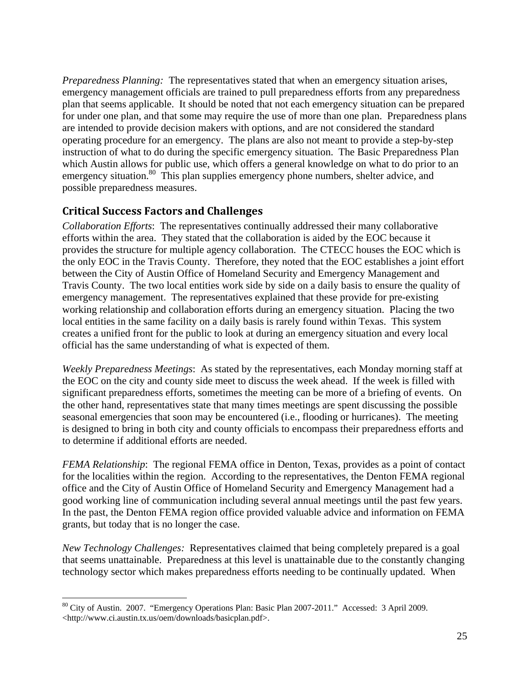*Preparedness Planning:* The representatives stated that when an emergency situation arises, emergency management officials are trained to pull preparedness efforts from any preparedness plan that seems applicable. It should be noted that not each emergency situation can be prepared for under one plan, and that some may require the use of more than one plan. Preparedness plans are intended to provide decision makers with options, and are not considered the standard operating procedure for an emergency. The plans are also not meant to provide a step-by-step instruction of what to do during the specific emergency situation. The Basic Preparedness Plan which Austin allows for public use, which offers a general knowledge on what to do prior to an emergency situation.<sup>80</sup> This plan supplies emergency phone numbers, shelter advice, and possible preparedness measures.

#### **Critical Success Factors and Challenges**

 $\overline{a}$ 

*Collaboration Efforts*: The representatives continually addressed their many collaborative efforts within the area. They stated that the collaboration is aided by the EOC because it provides the structure for multiple agency collaboration. The CTECC houses the EOC which is the only EOC in the Travis County. Therefore, they noted that the EOC establishes a joint effort between the City of Austin Office of Homeland Security and Emergency Management and Travis County. The two local entities work side by side on a daily basis to ensure the quality of emergency management. The representatives explained that these provide for pre-existing working relationship and collaboration efforts during an emergency situation. Placing the two local entities in the same facility on a daily basis is rarely found within Texas. This system creates a unified front for the public to look at during an emergency situation and every local official has the same understanding of what is expected of them.

*Weekly Preparedness Meetings*: As stated by the representatives, each Monday morning staff at the EOC on the city and county side meet to discuss the week ahead. If the week is filled with significant preparedness efforts, sometimes the meeting can be more of a briefing of events. On the other hand, representatives state that many times meetings are spent discussing the possible seasonal emergencies that soon may be encountered (i.e., flooding or hurricanes). The meeting is designed to bring in both city and county officials to encompass their preparedness efforts and to determine if additional efforts are needed.

*FEMA Relationship*: The regional FEMA office in Denton, Texas, provides as a point of contact for the localities within the region. According to the representatives, the Denton FEMA regional office and the City of Austin Office of Homeland Security and Emergency Management had a good working line of communication including several annual meetings until the past few years. In the past, the Denton FEMA region office provided valuable advice and information on FEMA grants, but today that is no longer the case.

*New Technology Challenges:* Representatives claimed that being completely prepared is a goal that seems unattainable. Preparedness at this level is unattainable due to the constantly changing technology sector which makes preparedness efforts needing to be continually updated. When

<sup>&</sup>lt;sup>80</sup> City of Austin. 2007. "Emergency Operations Plan: Basic Plan 2007-2011." Accessed: 3 April 2009. <http://www.ci.austin.tx.us/oem/downloads/basicplan.pdf>.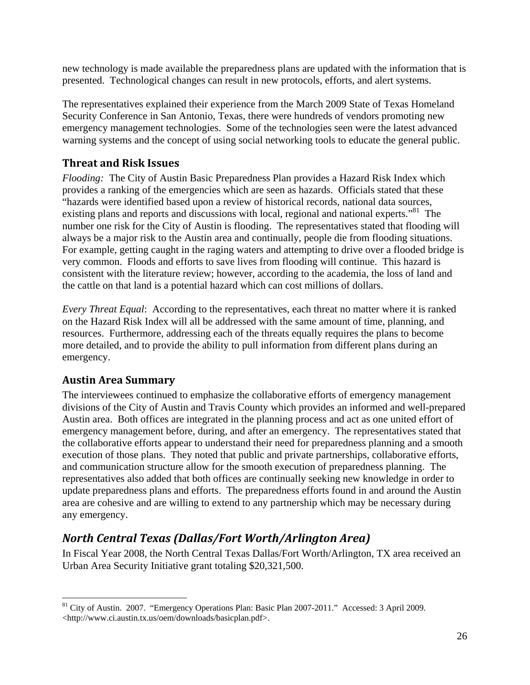new technology is made available the preparedness plans are updated with the information that is presented. Technological changes can result in new protocols, efforts, and alert systems.

The representatives explained their experience from the March 2009 State of Texas Homeland Security Conference in San Antonio, Texas, there were hundreds of vendors promoting new emergency management technologies. Some of the technologies seen were the latest advanced warning systems and the concept of using social networking tools to educate the general public.

### **Threat and Risk Issues**

*Flooding:* The City of Austin Basic Preparedness Plan provides a Hazard Risk Index which provides a ranking of the emergencies which are seen as hazards. Officials stated that these "hazards were identified based upon a review of historical records, national data sources, existing plans and reports and discussions with local, regional and national experts."<sup>81</sup> The number one risk for the City of Austin is flooding. The representatives stated that flooding will always be a major risk to the Austin area and continually, people die from flooding situations. For example, getting caught in the raging waters and attempting to drive over a flooded bridge is very common. Floods and efforts to save lives from flooding will continue. This hazard is consistent with the literature review; however, according to the academia, the loss of land and the cattle on that land is a potential hazard which can cost millions of dollars.

*Every Threat Equal*: According to the representatives, each threat no matter where it is ranked on the Hazard Risk Index will all be addressed with the same amount of time, planning, and resources. Furthermore, addressing each of the threats equally requires the plans to become more detailed, and to provide the ability to pull information from different plans during an emergency.

#### **Austin Area Summary**

 $\overline{a}$ 

The interviewees continued to emphasize the collaborative efforts of emergency management divisions of the City of Austin and Travis County which provides an informed and well-prepared Austin area. Both offices are integrated in the planning process and act as one united effort of emergency management before, during, and after an emergency. The representatives stated that the collaborative efforts appear to understand their need for preparedness planning and a smooth execution of those plans. They noted that public and private partnerships, collaborative efforts, and communication structure allow for the smooth execution of preparedness planning. The representatives also added that both offices are continually seeking new knowledge in order to update preparedness plans and efforts. The preparedness efforts found in and around the Austin area are cohesive and are willing to extend to any partnership which may be necessary during any emergency.

# *North Central Texas (Dallas/Fort Worth/Arlington Area)*

In Fiscal Year 2008, the North Central Texas Dallas/Fort Worth/Arlington, TX area received an Urban Area Security Initiative grant totaling \$20,321,500.

<sup>&</sup>lt;sup>81</sup> City of Austin. 2007. "Emergency Operations Plan: Basic Plan 2007-2011." Accessed: 3 April 2009. <http://www.ci.austin.tx.us/oem/downloads/basicplan.pdf>.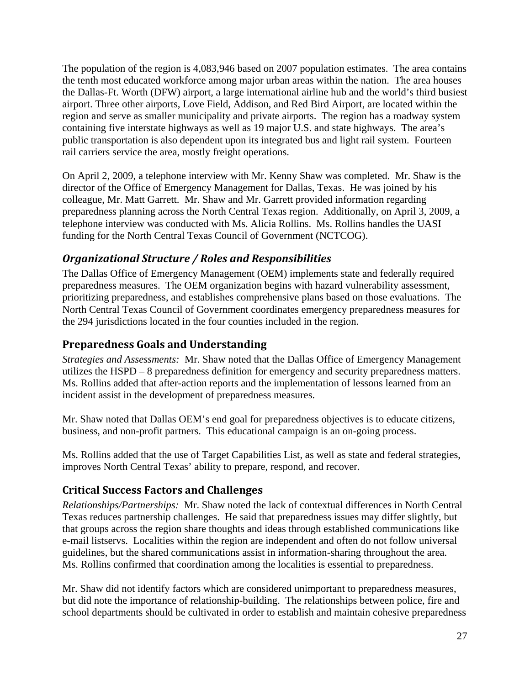The population of the region is 4,083,946 based on 2007 population estimates. The area contains the tenth most educated workforce among major urban areas within the nation.The area houses the Dallas-Ft. Worth (DFW) airport, a large international airline hub and the world's third busiest airport. Three other airports, Love Field, Addison, and Red Bird Airport, are located within the region and serve as smaller municipality and private airports.The region has a roadway system containing five interstate highways as well as 19 major U.S. and state highways. The area's public transportation is also dependent upon its integrated bus and light rail system. Fourteen rail carriers service the area, mostly freight operations.

On April 2, 2009, a telephone interview with Mr. Kenny Shaw was completed. Mr. Shaw is the director of the Office of Emergency Management for Dallas, Texas. He was joined by his colleague, Mr. Matt Garrett. Mr. Shaw and Mr. Garrett provided information regarding preparedness planning across the North Central Texas region. Additionally, on April 3, 2009, a telephone interview was conducted with Ms. Alicia Rollins. Ms. Rollins handles the UASI funding for the North Central Texas Council of Government (NCTCOG).

### *Organizational Structure / Roles and Responsibilities*

The Dallas Office of Emergency Management (OEM) implements state and federally required preparedness measures. The OEM organization begins with hazard vulnerability assessment, prioritizing preparedness, and establishes comprehensive plans based on those evaluations. The North Central Texas Council of Government coordinates emergency preparedness measures for the 294 jurisdictions located in the four counties included in the region.

### **Preparedness Goals and Understanding**

*Strategies and Assessments:* Mr. Shaw noted that the Dallas Office of Emergency Management utilizes the HSPD – 8 preparedness definition for emergency and security preparedness matters. Ms. Rollins added that after-action reports and the implementation of lessons learned from an incident assist in the development of preparedness measures.

Mr. Shaw noted that Dallas OEM's end goal for preparedness objectives is to educate citizens, business, and non-profit partners. This educational campaign is an on-going process.

Ms. Rollins added that the use of Target Capabilities List, as well as state and federal strategies, improves North Central Texas' ability to prepare, respond, and recover.

### **Critical Success Factors and Challenges**

*Relationships/Partnerships:* Mr. Shaw noted the lack of contextual differences in North Central Texas reduces partnership challenges. He said that preparedness issues may differ slightly, but that groups across the region share thoughts and ideas through established communications like e-mail listservs. Localities within the region are independent and often do not follow universal guidelines, but the shared communications assist in information-sharing throughout the area. Ms. Rollins confirmed that coordination among the localities is essential to preparedness.

Mr. Shaw did not identify factors which are considered unimportant to preparedness measures, but did note the importance of relationship-building. The relationships between police, fire and school departments should be cultivated in order to establish and maintain cohesive preparedness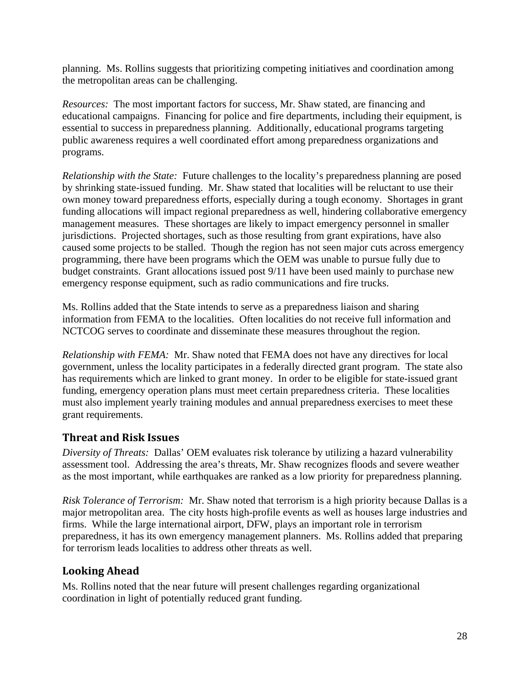planning. Ms. Rollins suggests that prioritizing competing initiatives and coordination among the metropolitan areas can be challenging.

*Resources:* The most important factors for success, Mr. Shaw stated, are financing and educational campaigns. Financing for police and fire departments, including their equipment, is essential to success in preparedness planning. Additionally, educational programs targeting public awareness requires a well coordinated effort among preparedness organizations and programs.

*Relationship with the State:* Future challenges to the locality's preparedness planning are posed by shrinking state-issued funding. Mr. Shaw stated that localities will be reluctant to use their own money toward preparedness efforts, especially during a tough economy. Shortages in grant funding allocations will impact regional preparedness as well, hindering collaborative emergency management measures. These shortages are likely to impact emergency personnel in smaller jurisdictions. Projected shortages, such as those resulting from grant expirations, have also caused some projects to be stalled. Though the region has not seen major cuts across emergency programming, there have been programs which the OEM was unable to pursue fully due to budget constraints. Grant allocations issued post 9/11 have been used mainly to purchase new emergency response equipment, such as radio communications and fire trucks.

Ms. Rollins added that the State intends to serve as a preparedness liaison and sharing information from FEMA to the localities. Often localities do not receive full information and NCTCOG serves to coordinate and disseminate these measures throughout the region.

*Relationship with FEMA:* Mr. Shaw noted that FEMA does not have any directives for local government, unless the locality participates in a federally directed grant program. The state also has requirements which are linked to grant money. In order to be eligible for state-issued grant funding, emergency operation plans must meet certain preparedness criteria. These localities must also implement yearly training modules and annual preparedness exercises to meet these grant requirements.

### **Threat and Risk Issues**

*Diversity of Threats:* Dallas' OEM evaluates risk tolerance by utilizing a hazard vulnerability assessment tool. Addressing the area's threats, Mr. Shaw recognizes floods and severe weather as the most important, while earthquakes are ranked as a low priority for preparedness planning.

*Risk Tolerance of Terrorism:* Mr. Shaw noted that terrorism is a high priority because Dallas is a major metropolitan area. The city hosts high-profile events as well as houses large industries and firms. While the large international airport, DFW, plays an important role in terrorism preparedness, it has its own emergency management planners. Ms. Rollins added that preparing for terrorism leads localities to address other threats as well.

#### **Looking Ahead**

Ms. Rollins noted that the near future will present challenges regarding organizational coordination in light of potentially reduced grant funding.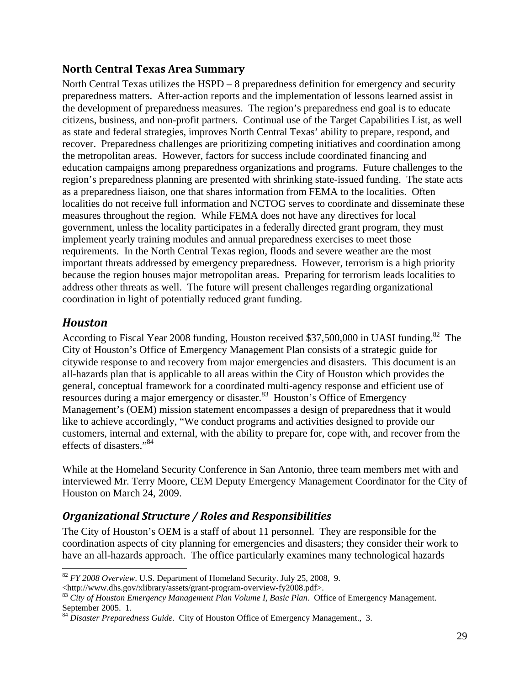#### **North Central Texas Area Summary**

North Central Texas utilizes the HSPD – 8 preparedness definition for emergency and security preparedness matters. After-action reports and the implementation of lessons learned assist in the development of preparedness measures. The region's preparedness end goal is to educate citizens, business, and non-profit partners. Continual use of the Target Capabilities List, as well as state and federal strategies, improves North Central Texas' ability to prepare, respond, and recover. Preparedness challenges are prioritizing competing initiatives and coordination among the metropolitan areas. However, factors for success include coordinated financing and education campaigns among preparedness organizations and programs. Future challenges to the region's preparedness planning are presented with shrinking state-issued funding. The state acts as a preparedness liaison, one that shares information from FEMA to the localities. Often localities do not receive full information and NCTOG serves to coordinate and disseminate these measures throughout the region. While FEMA does not have any directives for local government, unless the locality participates in a federally directed grant program, they must implement yearly training modules and annual preparedness exercises to meet those requirements. In the North Central Texas region, floods and severe weather are the most important threats addressed by emergency preparedness. However, terrorism is a high priority because the region houses major metropolitan areas. Preparing for terrorism leads localities to address other threats as well. The future will present challenges regarding organizational coordination in light of potentially reduced grant funding.

### *Houston*

 $\overline{a}$ 

According to Fiscal Year 2008 funding, Houston received \$37,500,000 in UASI funding.<sup>82</sup> The City of Houston's Office of Emergency Management Plan consists of a strategic guide for citywide response to and recovery from major emergencies and disasters. This document is an all-hazards plan that is applicable to all areas within the City of Houston which provides the general, conceptual framework for a coordinated multi-agency response and efficient use of resources during a major emergency or disaster.<sup>83</sup> Houston's Office of Emergency Management's (OEM) mission statement encompasses a design of preparedness that it would like to achieve accordingly, "We conduct programs and activities designed to provide our customers, internal and external, with the ability to prepare for, cope with, and recover from the effects of disasters."84

While at the Homeland Security Conference in San Antonio, three team members met with and interviewed Mr. Terry Moore, CEM Deputy Emergency Management Coordinator for the City of Houston on March 24, 2009.

### *Organizational Structure / Roles and Responsibilities*

The City of Houston's OEM is a staff of about 11 personnel. They are responsible for the coordination aspects of city planning for emergencies and disasters; they consider their work to have an all-hazards approach. The office particularly examines many technological hazards

<sup>82</sup> *FY 2008 Overview*. U.S. Department of Homeland Security. July 25, 2008, 9.

<sup>&</sup>lt;http://www.dhs.gov/xlibrary/assets/grant-program-overview-fy2008.pdf>. 83 *City of Houston Emergency Management Plan Volume I, Basic Plan*. Office of Emergency Management. September 2005. 1.

<sup>84</sup> *Disaster Preparedness Guide*. City of Houston Office of Emergency Management., 3.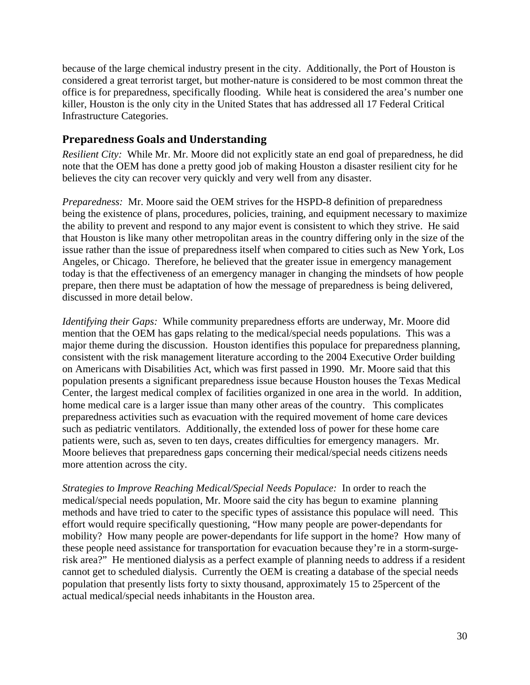because of the large chemical industry present in the city. Additionally, the Port of Houston is considered a great terrorist target, but mother-nature is considered to be most common threat the office is for preparedness, specifically flooding. While heat is considered the area's number one killer, Houston is the only city in the United States that has addressed all 17 Federal Critical Infrastructure Categories.

#### **Preparedness Goals and Understanding**

*Resilient City:* While Mr. Mr. Moore did not explicitly state an end goal of preparedness, he did note that the OEM has done a pretty good job of making Houston a disaster resilient city for he believes the city can recover very quickly and very well from any disaster.

*Preparedness:* Mr. Moore said the OEM strives for the HSPD-8 definition of preparedness being the existence of plans, procedures, policies, training, and equipment necessary to maximize the ability to prevent and respond to any major event is consistent to which they strive. He said that Houston is like many other metropolitan areas in the country differing only in the size of the issue rather than the issue of preparedness itself when compared to cities such as New York, Los Angeles, or Chicago. Therefore, he believed that the greater issue in emergency management today is that the effectiveness of an emergency manager in changing the mindsets of how people prepare, then there must be adaptation of how the message of preparedness is being delivered, discussed in more detail below.

*Identifying their Gaps:* While community preparedness efforts are underway, Mr. Moore did mention that the OEM has gaps relating to the medical/special needs populations. This was a major theme during the discussion. Houston identifies this populace for preparedness planning, consistent with the risk management literature according to the 2004 Executive Order building on Americans with Disabilities Act, which was first passed in 1990. Mr. Moore said that this population presents a significant preparedness issue because Houston houses the Texas Medical Center, the largest medical complex of facilities organized in one area in the world. In addition, home medical care is a larger issue than many other areas of the country. This complicates preparedness activities such as evacuation with the required movement of home care devices such as pediatric ventilators. Additionally, the extended loss of power for these home care patients were, such as, seven to ten days, creates difficulties for emergency managers. Mr. Moore believes that preparedness gaps concerning their medical/special needs citizens needs more attention across the city.

*Strategies to Improve Reaching Medical/Special Needs Populace:* In order to reach the medical/special needs population, Mr. Moore said the city has begun to examine planning methods and have tried to cater to the specific types of assistance this populace will need. This effort would require specifically questioning, "How many people are power-dependants for mobility? How many people are power-dependants for life support in the home? How many of these people need assistance for transportation for evacuation because they're in a storm-surgerisk area?" He mentioned dialysis as a perfect example of planning needs to address if a resident cannot get to scheduled dialysis. Currently the OEM is creating a database of the special needs population that presently lists forty to sixty thousand, approximately 15 to 25percent of the actual medical/special needs inhabitants in the Houston area.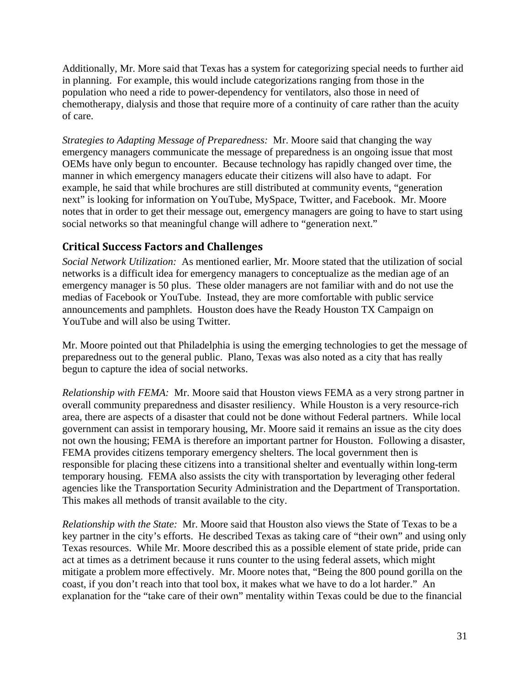Additionally, Mr. More said that Texas has a system for categorizing special needs to further aid in planning. For example, this would include categorizations ranging from those in the population who need a ride to power-dependency for ventilators, also those in need of chemotherapy, dialysis and those that require more of a continuity of care rather than the acuity of care.

*Strategies to Adapting Message of Preparedness:* Mr. Moore said that changing the way emergency managers communicate the message of preparedness is an ongoing issue that most OEMs have only begun to encounter. Because technology has rapidly changed over time, the manner in which emergency managers educate their citizens will also have to adapt. For example, he said that while brochures are still distributed at community events, "generation next" is looking for information on YouTube, MySpace, Twitter, and Facebook. Mr. Moore notes that in order to get their message out, emergency managers are going to have to start using social networks so that meaningful change will adhere to "generation next."

## **Critical Success Factors and Challenges**

*Social Network Utilization:* As mentioned earlier, Mr. Moore stated that the utilization of social networks is a difficult idea for emergency managers to conceptualize as the median age of an emergency manager is 50 plus. These older managers are not familiar with and do not use the medias of Facebook or YouTube. Instead, they are more comfortable with public service announcements and pamphlets. Houston does have the Ready Houston TX Campaign on YouTube and will also be using Twitter.

Mr. Moore pointed out that Philadelphia is using the emerging technologies to get the message of preparedness out to the general public. Plano, Texas was also noted as a city that has really begun to capture the idea of social networks.

*Relationship with FEMA:* Mr. Moore said that Houston views FEMA as a very strong partner in overall community preparedness and disaster resiliency. While Houston is a very resource-rich area, there are aspects of a disaster that could not be done without Federal partners. While local government can assist in temporary housing, Mr. Moore said it remains an issue as the city does not own the housing; FEMA is therefore an important partner for Houston. Following a disaster, FEMA provides citizens temporary emergency shelters. The local government then is responsible for placing these citizens into a transitional shelter and eventually within long-term temporary housing. FEMA also assists the city with transportation by leveraging other federal agencies like the Transportation Security Administration and the Department of Transportation. This makes all methods of transit available to the city.

*Relationship with the State:* Mr. Moore said that Houston also views the State of Texas to be a key partner in the city's efforts. He described Texas as taking care of "their own" and using only Texas resources. While Mr. Moore described this as a possible element of state pride, pride can act at times as a detriment because it runs counter to the using federal assets, which might mitigate a problem more effectively. Mr. Moore notes that, "Being the 800 pound gorilla on the coast, if you don't reach into that tool box, it makes what we have to do a lot harder." An explanation for the "take care of their own" mentality within Texas could be due to the financial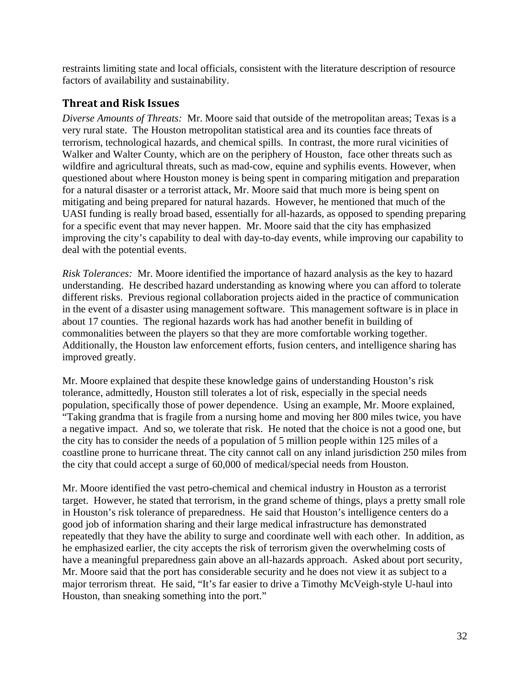restraints limiting state and local officials, consistent with the literature description of resource factors of availability and sustainability.

#### **Threat and Risk Issues**

*Diverse Amounts of Threats:* Mr. Moore said that outside of the metropolitan areas; Texas is a very rural state. The Houston metropolitan statistical area and its counties face threats of terrorism, technological hazards, and chemical spills. In contrast, the more rural vicinities of Walker and Walter County, which are on the periphery of Houston, face other threats such as wildfire and agricultural threats, such as mad-cow, equine and syphilis events. However, when questioned about where Houston money is being spent in comparing mitigation and preparation for a natural disaster or a terrorist attack, Mr. Moore said that much more is being spent on mitigating and being prepared for natural hazards. However, he mentioned that much of the UASI funding is really broad based, essentially for all-hazards, as opposed to spending preparing for a specific event that may never happen. Mr. Moore said that the city has emphasized improving the city's capability to deal with day-to-day events, while improving our capability to deal with the potential events.

*Risk Tolerances:* Mr. Moore identified the importance of hazard analysis as the key to hazard understanding. He described hazard understanding as knowing where you can afford to tolerate different risks. Previous regional collaboration projects aided in the practice of communication in the event of a disaster using management software. This management software is in place in about 17 counties. The regional hazards work has had another benefit in building of commonalities between the players so that they are more comfortable working together. Additionally, the Houston law enforcement efforts, fusion centers, and intelligence sharing has improved greatly.

Mr. Moore explained that despite these knowledge gains of understanding Houston's risk tolerance, admittedly, Houston still tolerates a lot of risk, especially in the special needs population, specifically those of power dependence. Using an example, Mr. Moore explained, "Taking grandma that is fragile from a nursing home and moving her 800 miles twice, you have a negative impact. And so, we tolerate that risk. He noted that the choice is not a good one, but the city has to consider the needs of a population of 5 million people within 125 miles of a coastline prone to hurricane threat. The city cannot call on any inland jurisdiction 250 miles from the city that could accept a surge of 60,000 of medical/special needs from Houston.

Mr. Moore identified the vast petro-chemical and chemical industry in Houston as a terrorist target. However, he stated that terrorism, in the grand scheme of things, plays a pretty small role in Houston's risk tolerance of preparedness. He said that Houston's intelligence centers do a good job of information sharing and their large medical infrastructure has demonstrated repeatedly that they have the ability to surge and coordinate well with each other. In addition, as he emphasized earlier, the city accepts the risk of terrorism given the overwhelming costs of have a meaningful preparedness gain above an all-hazards approach. Asked about port security, Mr. Moore said that the port has considerable security and he does not view it as subject to a major terrorism threat. He said, "It's far easier to drive a Timothy McVeigh-style U-haul into Houston, than sneaking something into the port."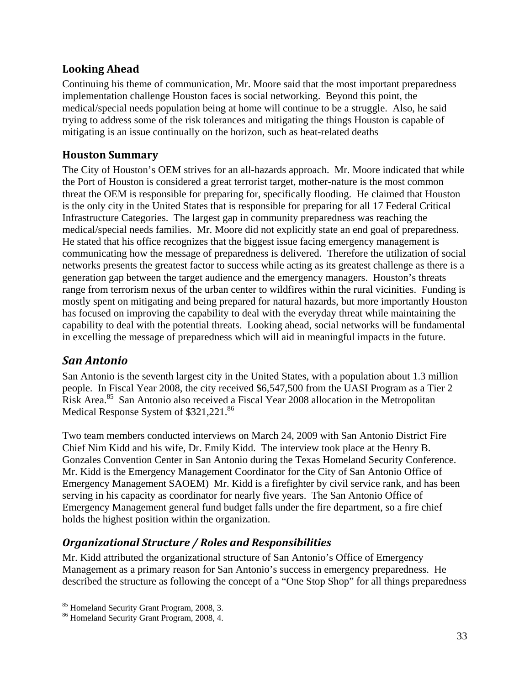#### **Looking Ahead**

Continuing his theme of communication, Mr. Moore said that the most important preparedness implementation challenge Houston faces is social networking. Beyond this point, the medical/special needs population being at home will continue to be a struggle. Also, he said trying to address some of the risk tolerances and mitigating the things Houston is capable of mitigating is an issue continually on the horizon, such as heat-related deaths

#### **Houston Summary**

The City of Houston's OEM strives for an all-hazards approach. Mr. Moore indicated that while the Port of Houston is considered a great terrorist target, mother-nature is the most common threat the OEM is responsible for preparing for, specifically flooding. He claimed that Houston is the only city in the United States that is responsible for preparing for all 17 Federal Critical Infrastructure Categories. The largest gap in community preparedness was reaching the medical/special needs families. Mr. Moore did not explicitly state an end goal of preparedness. He stated that his office recognizes that the biggest issue facing emergency management is communicating how the message of preparedness is delivered. Therefore the utilization of social networks presents the greatest factor to success while acting as its greatest challenge as there is a generation gap between the target audience and the emergency managers. Houston's threats range from terrorism nexus of the urban center to wildfires within the rural vicinities. Funding is mostly spent on mitigating and being prepared for natural hazards, but more importantly Houston has focused on improving the capability to deal with the everyday threat while maintaining the capability to deal with the potential threats. Looking ahead, social networks will be fundamental in excelling the message of preparedness which will aid in meaningful impacts in the future.

## *San Antonio*

 $\overline{a}$ 

San Antonio is the seventh largest city in the United States, with a population about 1.3 million people. In Fiscal Year 2008, the city received \$6,547,500 from the UASI Program as a Tier 2 Risk Area.85 San Antonio also received a Fiscal Year 2008 allocation in the Metropolitan Medical Response System of \$321,221.<sup>86</sup>

Two team members conducted interviews on March 24, 2009 with San Antonio District Fire Chief Nim Kidd and his wife, Dr. Emily Kidd. The interview took place at the Henry B. Gonzales Convention Center in San Antonio during the Texas Homeland Security Conference. Mr. Kidd is the Emergency Management Coordinator for the City of San Antonio Office of Emergency Management SAOEM) Mr. Kidd is a firefighter by civil service rank, and has been serving in his capacity as coordinator for nearly five years. The San Antonio Office of Emergency Management general fund budget falls under the fire department, so a fire chief holds the highest position within the organization.

### *Organizational Structure / Roles and Responsibilities*

Mr. Kidd attributed the organizational structure of San Antonio's Office of Emergency Management as a primary reason for San Antonio's success in emergency preparedness. He described the structure as following the concept of a "One Stop Shop" for all things preparedness

<sup>85</sup> Homeland Security Grant Program, 2008, 3.

<sup>86</sup> Homeland Security Grant Program, 2008, 4.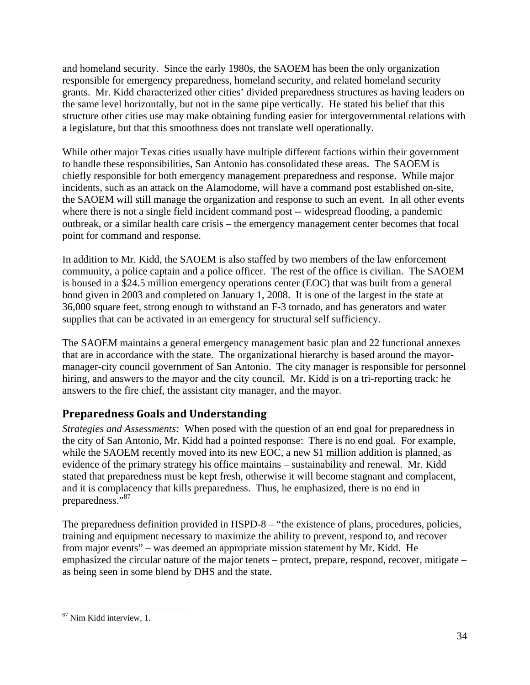and homeland security. Since the early 1980s, the SAOEM has been the only organization responsible for emergency preparedness, homeland security, and related homeland security grants. Mr. Kidd characterized other cities' divided preparedness structures as having leaders on the same level horizontally, but not in the same pipe vertically. He stated his belief that this structure other cities use may make obtaining funding easier for intergovernmental relations with a legislature, but that this smoothness does not translate well operationally.

While other major Texas cities usually have multiple different factions within their government to handle these responsibilities, San Antonio has consolidated these areas. The SAOEM is chiefly responsible for both emergency management preparedness and response. While major incidents, such as an attack on the Alamodome, will have a command post established on-site, the SAOEM will still manage the organization and response to such an event. In all other events where there is not a single field incident command post -- widespread flooding, a pandemic outbreak, or a similar health care crisis – the emergency management center becomes that focal point for command and response.

In addition to Mr. Kidd, the SAOEM is also staffed by two members of the law enforcement community, a police captain and a police officer. The rest of the office is civilian. The SAOEM is housed in a \$24.5 million emergency operations center (EOC) that was built from a general bond given in 2003 and completed on January 1, 2008. It is one of the largest in the state at 36,000 square feet, strong enough to withstand an F-3 tornado, and has generators and water supplies that can be activated in an emergency for structural self sufficiency.

The SAOEM maintains a general emergency management basic plan and 22 functional annexes that are in accordance with the state. The organizational hierarchy is based around the mayormanager-city council government of San Antonio. The city manager is responsible for personnel hiring, and answers to the mayor and the city council. Mr. Kidd is on a tri-reporting track: he answers to the fire chief, the assistant city manager, and the mayor.

### **Preparedness Goals and Understanding**

*Strategies and Assessments:* When posed with the question of an end goal for preparedness in the city of San Antonio, Mr. Kidd had a pointed response: There is no end goal. For example, while the SAOEM recently moved into its new EOC, a new \$1 million addition is planned, as evidence of the primary strategy his office maintains – sustainability and renewal. Mr. Kidd stated that preparedness must be kept fresh, otherwise it will become stagnant and complacent, and it is complacency that kills preparedness. Thus, he emphasized, there is no end in preparedness."<sup>87</sup>

The preparedness definition provided in HSPD-8 – "the existence of plans, procedures, policies, training and equipment necessary to maximize the ability to prevent, respond to, and recover from major events" – was deemed an appropriate mission statement by Mr. Kidd. He emphasized the circular nature of the major tenets – protect, prepare, respond, recover, mitigate – as being seen in some blend by DHS and the state.

 $\overline{a}$ 87 Nim Kidd interview, 1.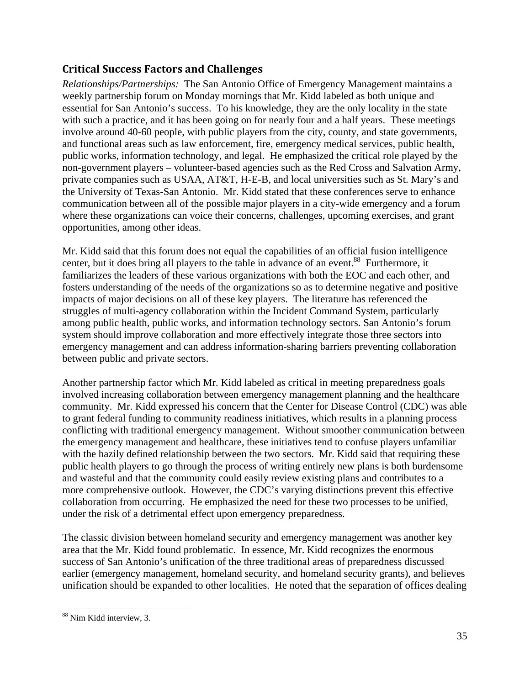### **Critical Success Factors and Challenges**

*Relationships/Partnerships:* The San Antonio Office of Emergency Management maintains a weekly partnership forum on Monday mornings that Mr. Kidd labeled as both unique and essential for San Antonio's success. To his knowledge, they are the only locality in the state with such a practice, and it has been going on for nearly four and a half years. These meetings involve around 40-60 people, with public players from the city, county, and state governments, and functional areas such as law enforcement, fire, emergency medical services, public health, public works, information technology, and legal. He emphasized the critical role played by the non-government players – volunteer-based agencies such as the Red Cross and Salvation Army, private companies such as USAA, AT&T, H-E-B, and local universities such as St. Mary's and the University of Texas-San Antonio. Mr. Kidd stated that these conferences serve to enhance communication between all of the possible major players in a city-wide emergency and a forum where these organizations can voice their concerns, challenges, upcoming exercises, and grant opportunities, among other ideas.

Mr. Kidd said that this forum does not equal the capabilities of an official fusion intelligence center, but it does bring all players to the table in advance of an event.<sup>88</sup> Furthermore, it familiarizes the leaders of these various organizations with both the EOC and each other, and fosters understanding of the needs of the organizations so as to determine negative and positive impacts of major decisions on all of these key players. The literature has referenced the struggles of multi-agency collaboration within the Incident Command System, particularly among public health, public works, and information technology sectors. San Antonio's forum system should improve collaboration and more effectively integrate those three sectors into emergency management and can address information-sharing barriers preventing collaboration between public and private sectors.

Another partnership factor which Mr. Kidd labeled as critical in meeting preparedness goals involved increasing collaboration between emergency management planning and the healthcare community. Mr. Kidd expressed his concern that the Center for Disease Control (CDC) was able to grant federal funding to community readiness initiatives, which results in a planning process conflicting with traditional emergency management. Without smoother communication between the emergency management and healthcare, these initiatives tend to confuse players unfamiliar with the hazily defined relationship between the two sectors. Mr. Kidd said that requiring these public health players to go through the process of writing entirely new plans is both burdensome and wasteful and that the community could easily review existing plans and contributes to a more comprehensive outlook. However, the CDC's varying distinctions prevent this effective collaboration from occurring. He emphasized the need for these two processes to be unified, under the risk of a detrimental effect upon emergency preparedness.

The classic division between homeland security and emergency management was another key area that the Mr. Kidd found problematic. In essence, Mr. Kidd recognizes the enormous success of San Antonio's unification of the three traditional areas of preparedness discussed earlier (emergency management, homeland security, and homeland security grants), and believes unification should be expanded to other localities. He noted that the separation of offices dealing

 $\overline{a}$ 88 Nim Kidd interview, 3.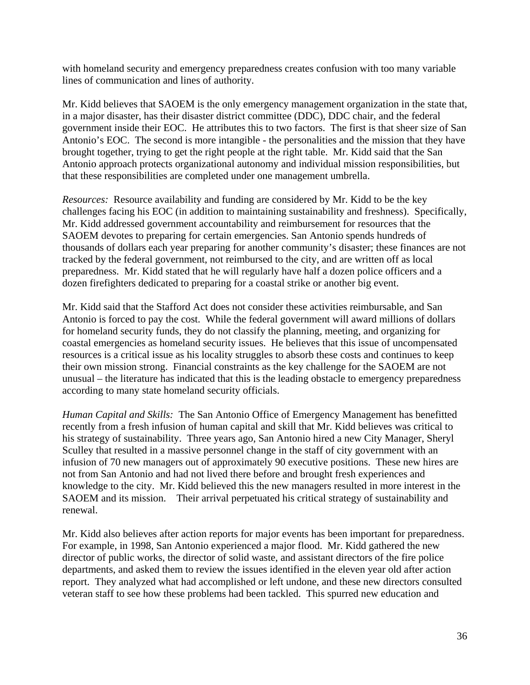with homeland security and emergency preparedness creates confusion with too many variable lines of communication and lines of authority.

Mr. Kidd believes that SAOEM is the only emergency management organization in the state that, in a major disaster, has their disaster district committee (DDC), DDC chair, and the federal government inside their EOC. He attributes this to two factors. The first is that sheer size of San Antonio's EOC. The second is more intangible - the personalities and the mission that they have brought together, trying to get the right people at the right table. Mr. Kidd said that the San Antonio approach protects organizational autonomy and individual mission responsibilities, but that these responsibilities are completed under one management umbrella.

*Resources:* Resource availability and funding are considered by Mr. Kidd to be the key challenges facing his EOC (in addition to maintaining sustainability and freshness). Specifically, Mr. Kidd addressed government accountability and reimbursement for resources that the SAOEM devotes to preparing for certain emergencies. San Antonio spends hundreds of thousands of dollars each year preparing for another community's disaster; these finances are not tracked by the federal government, not reimbursed to the city, and are written off as local preparedness. Mr. Kidd stated that he will regularly have half a dozen police officers and a dozen firefighters dedicated to preparing for a coastal strike or another big event.

Mr. Kidd said that the Stafford Act does not consider these activities reimbursable, and San Antonio is forced to pay the cost. While the federal government will award millions of dollars for homeland security funds, they do not classify the planning, meeting, and organizing for coastal emergencies as homeland security issues. He believes that this issue of uncompensated resources is a critical issue as his locality struggles to absorb these costs and continues to keep their own mission strong. Financial constraints as the key challenge for the SAOEM are not unusual – the literature has indicated that this is the leading obstacle to emergency preparedness according to many state homeland security officials.

*Human Capital and Skills:* The San Antonio Office of Emergency Management has benefitted recently from a fresh infusion of human capital and skill that Mr. Kidd believes was critical to his strategy of sustainability. Three years ago, San Antonio hired a new City Manager, Sheryl Sculley that resulted in a massive personnel change in the staff of city government with an infusion of 70 new managers out of approximately 90 executive positions. These new hires are not from San Antonio and had not lived there before and brought fresh experiences and knowledge to the city. Mr. Kidd believed this the new managers resulted in more interest in the SAOEM and its mission. Their arrival perpetuated his critical strategy of sustainability and renewal.

Mr. Kidd also believes after action reports for major events has been important for preparedness. For example, in 1998, San Antonio experienced a major flood. Mr. Kidd gathered the new director of public works, the director of solid waste, and assistant directors of the fire police departments, and asked them to review the issues identified in the eleven year old after action report. They analyzed what had accomplished or left undone, and these new directors consulted veteran staff to see how these problems had been tackled. This spurred new education and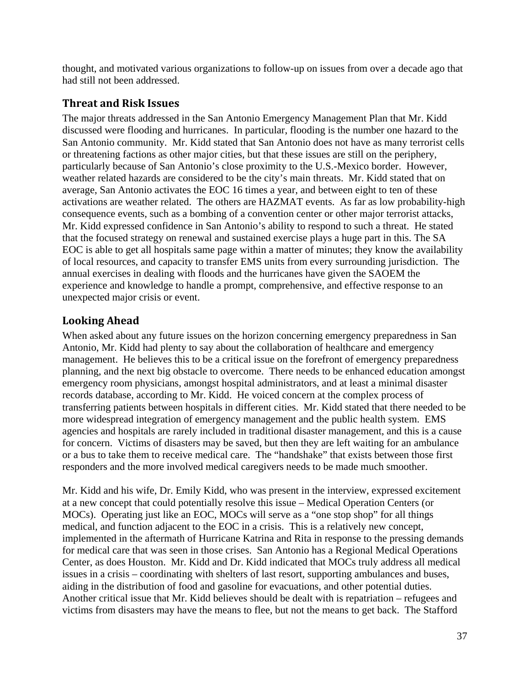thought, and motivated various organizations to follow-up on issues from over a decade ago that had still not been addressed.

#### **Threat and Risk Issues**

The major threats addressed in the San Antonio Emergency Management Plan that Mr. Kidd discussed were flooding and hurricanes. In particular, flooding is the number one hazard to the San Antonio community. Mr. Kidd stated that San Antonio does not have as many terrorist cells or threatening factions as other major cities, but that these issues are still on the periphery, particularly because of San Antonio's close proximity to the U.S.-Mexico border. However, weather related hazards are considered to be the city's main threats. Mr. Kidd stated that on average, San Antonio activates the EOC 16 times a year, and between eight to ten of these activations are weather related. The others are HAZMAT events. As far as low probability-high consequence events, such as a bombing of a convention center or other major terrorist attacks, Mr. Kidd expressed confidence in San Antonio's ability to respond to such a threat. He stated that the focused strategy on renewal and sustained exercise plays a huge part in this. The SA EOC is able to get all hospitals same page within a matter of minutes; they know the availability of local resources, and capacity to transfer EMS units from every surrounding jurisdiction. The annual exercises in dealing with floods and the hurricanes have given the SAOEM the experience and knowledge to handle a prompt, comprehensive, and effective response to an unexpected major crisis or event.

## **Looking Ahead**

When asked about any future issues on the horizon concerning emergency preparedness in San Antonio, Mr. Kidd had plenty to say about the collaboration of healthcare and emergency management. He believes this to be a critical issue on the forefront of emergency preparedness planning, and the next big obstacle to overcome. There needs to be enhanced education amongst emergency room physicians, amongst hospital administrators, and at least a minimal disaster records database, according to Mr. Kidd. He voiced concern at the complex process of transferring patients between hospitals in different cities. Mr. Kidd stated that there needed to be more widespread integration of emergency management and the public health system. EMS agencies and hospitals are rarely included in traditional disaster management, and this is a cause for concern. Victims of disasters may be saved, but then they are left waiting for an ambulance or a bus to take them to receive medical care. The "handshake" that exists between those first responders and the more involved medical caregivers needs to be made much smoother.

Mr. Kidd and his wife, Dr. Emily Kidd, who was present in the interview, expressed excitement at a new concept that could potentially resolve this issue – Medical Operation Centers (or MOCs). Operating just like an EOC, MOCs will serve as a "one stop shop" for all things medical, and function adjacent to the EOC in a crisis. This is a relatively new concept, implemented in the aftermath of Hurricane Katrina and Rita in response to the pressing demands for medical care that was seen in those crises. San Antonio has a Regional Medical Operations Center, as does Houston. Mr. Kidd and Dr. Kidd indicated that MOCs truly address all medical issues in a crisis – coordinating with shelters of last resort, supporting ambulances and buses, aiding in the distribution of food and gasoline for evacuations, and other potential duties. Another critical issue that Mr. Kidd believes should be dealt with is repatriation – refugees and victims from disasters may have the means to flee, but not the means to get back. The Stafford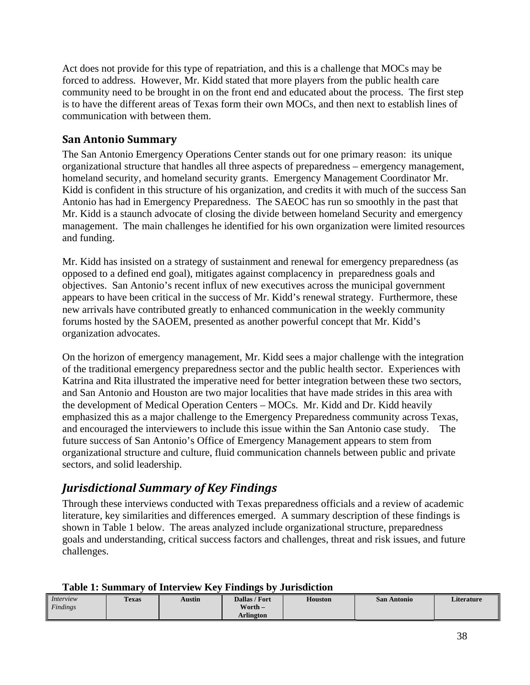Act does not provide for this type of repatriation, and this is a challenge that MOCs may be forced to address. However, Mr. Kidd stated that more players from the public health care community need to be brought in on the front end and educated about the process. The first step is to have the different areas of Texas form their own MOCs, and then next to establish lines of communication with between them.

#### **San Antonio Summary**

The San Antonio Emergency Operations Center stands out for one primary reason: its unique organizational structure that handles all three aspects of preparedness – emergency management, homeland security, and homeland security grants. Emergency Management Coordinator Mr. Kidd is confident in this structure of his organization, and credits it with much of the success San Antonio has had in Emergency Preparedness. The SAEOC has run so smoothly in the past that Mr. Kidd is a staunch advocate of closing the divide between homeland Security and emergency management. The main challenges he identified for his own organization were limited resources and funding.

Mr. Kidd has insisted on a strategy of sustainment and renewal for emergency preparedness (as opposed to a defined end goal), mitigates against complacency in preparedness goals and objectives. San Antonio's recent influx of new executives across the municipal government appears to have been critical in the success of Mr. Kidd's renewal strategy. Furthermore, these new arrivals have contributed greatly to enhanced communication in the weekly community forums hosted by the SAOEM, presented as another powerful concept that Mr. Kidd's organization advocates.

On the horizon of emergency management, Mr. Kidd sees a major challenge with the integration of the traditional emergency preparedness sector and the public health sector. Experiences with Katrina and Rita illustrated the imperative need for better integration between these two sectors, and San Antonio and Houston are two major localities that have made strides in this area with the development of Medical Operation Centers – MOCs. Mr. Kidd and Dr. Kidd heavily emphasized this as a major challenge to the Emergency Preparedness community across Texas, and encouraged the interviewers to include this issue within the San Antonio case study. The future success of San Antonio's Office of Emergency Management appears to stem from organizational structure and culture, fluid communication channels between public and private sectors, and solid leadership.

# *Jurisdictional Summary of Key Findings*

Through these interviews conducted with Texas preparedness officials and a review of academic literature, key similarities and differences emerged. A summary description of these findings is shown in Table 1 below. The areas analyzed include organizational structure, preparedness goals and understanding, critical success factors and challenges, threat and risk issues, and future challenges.

| Interview | <b>Texas</b> | Austin | Dallas / Fort | <b>Houston</b> | <b>San Antonio</b> | <b>Literature</b> |
|-----------|--------------|--------|---------------|----------------|--------------------|-------------------|
| Findings  |              |        | Worth $-$     |                |                    |                   |
|           |              |        | Arlington     |                |                    |                   |

#### **Table 1: Summary of Interview Key Findings by Jurisdiction**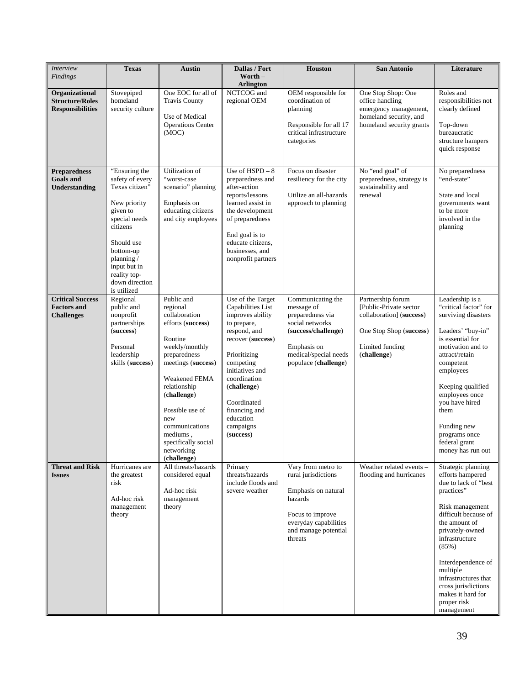| Interview<br><b>Findings</b>                                        | <b>Texas</b>                                                                                                                                                                                                            | <b>Austin</b>                                                                                                                                                                                                                                                                               | Dallas / Fort<br>Worth $-$<br><b>Arlington</b>                                                                                                                                                                                                                       | <b>Houston</b>                                                                                                                                                | <b>San Antonio</b>                                                                                                                    | Literature                                                                                                                                                                                                                                                                                                                 |
|---------------------------------------------------------------------|-------------------------------------------------------------------------------------------------------------------------------------------------------------------------------------------------------------------------|---------------------------------------------------------------------------------------------------------------------------------------------------------------------------------------------------------------------------------------------------------------------------------------------|----------------------------------------------------------------------------------------------------------------------------------------------------------------------------------------------------------------------------------------------------------------------|---------------------------------------------------------------------------------------------------------------------------------------------------------------|---------------------------------------------------------------------------------------------------------------------------------------|----------------------------------------------------------------------------------------------------------------------------------------------------------------------------------------------------------------------------------------------------------------------------------------------------------------------------|
| Organizational<br><b>Structure/Roles</b><br><b>Responsibilities</b> | Stovepiped<br>homeland<br>security culture                                                                                                                                                                              | One EOC for all of<br><b>Travis County</b><br>Use of Medical<br><b>Operations Center</b><br>(MOC)                                                                                                                                                                                           | NCTCOG and<br>regional OEM                                                                                                                                                                                                                                           | OEM responsible for<br>coordination of<br>planning<br>Responsible for all 17<br>critical infrastructure<br>categories                                         | One Stop Shop: One<br>office handling<br>emergency management,<br>homeland security, and<br>homeland security grants                  | Roles and<br>responsibilities not<br>clearly defined<br>Top-down<br>bureaucratic<br>structure hampers<br>quick response                                                                                                                                                                                                    |
| <b>Preparedness</b><br><b>Goals</b> and<br>Understanding            | "Ensuring the<br>safety of every<br>Texas citizen"<br>New priority<br>given to<br>special needs<br>citizens<br>Should use<br>bottom-up<br>planning $/$<br>input but in<br>reality top-<br>down direction<br>is utilized | Utilization of<br>"worst-case<br>scenario" planning<br>Emphasis on<br>educating citizens<br>and city employees                                                                                                                                                                              | Use of $HSPD - 8$<br>preparedness and<br>after-action<br>reports/lessons<br>learned assist in<br>the development<br>of preparedness<br>End goal is to<br>educate citizens.<br>businesses, and<br>nonprofit partners                                                  | Focus on disaster<br>resiliency for the city<br>Utilize an all-hazards<br>approach to planning                                                                | No "end goal" of<br>preparedness, strategy is<br>sustainability and<br>renewal                                                        | No preparedness<br>"end-state"<br>State and local<br>governments want<br>to be more<br>involved in the<br>planning                                                                                                                                                                                                         |
| <b>Critical Success</b><br><b>Factors and</b><br><b>Challenges</b>  | Regional<br>public and<br>nonprofit<br>partnerships<br>(success)<br>Personal<br>leadership<br>skills (success)                                                                                                          | Public and<br>regional<br>collaboration<br>efforts (success)<br>Routine<br>weekly/monthly<br>preparedness<br>meetings (success)<br>Weakened FEMA<br>relationship<br>(challenge)<br>Possible use of<br>new<br>communications<br>mediums,<br>specifically social<br>networking<br>(challenge) | Use of the Target<br>Capabilities List<br>improves ability<br>to prepare,<br>respond, and<br>recover (success)<br>Prioritizing<br>competing<br>initiatives and<br>coordination<br>(challenge)<br>Coordinated<br>financing and<br>education<br>campaigns<br>(success) | Communicating the<br>message of<br>preparedness via<br>social networks<br>(success/challenge)<br>Emphasis on<br>medical/special needs<br>populace (challenge) | Partnership forum<br>[Public-Private sector]<br>collaboration] (success)<br>One Stop Shop (success)<br>Limited funding<br>(challenge) | Leadership is a<br>"critical factor" for<br>surviving disasters<br>Leaders' "buy-in"<br>is essential for<br>motivation and to<br>attract/retain<br>competent<br>employees<br>Keeping qualified<br>employees once<br>you have hired<br>them<br>Funding new<br>programs once<br>federal grant<br>money has run out           |
| <b>Threat and Risk</b><br><b>Issues</b>                             | Hurricanes are<br>the greatest<br>risk<br>Ad-hoc risk<br>management<br>theory                                                                                                                                           | All threats/hazards<br>considered equal<br>Ad-hoc risk<br>management<br>theory                                                                                                                                                                                                              | Primary<br>threats/hazards<br>include floods and<br>severe weather                                                                                                                                                                                                   | Vary from metro to<br>rural jurisdictions<br>Emphasis on natural<br>hazards<br>Focus to improve<br>everyday capabilities<br>and manage potential<br>threats   | Weather related events -<br>flooding and hurricanes                                                                                   | Strategic planning<br>efforts hampered<br>due to lack of "best"<br>practices"<br>Risk management<br>difficult because of<br>the amount of<br>privately-owned<br>infrastructure<br>(85%)<br>Interdependence of<br>multiple<br>infrastructures that<br>cross jurisdictions<br>makes it hard for<br>proper risk<br>management |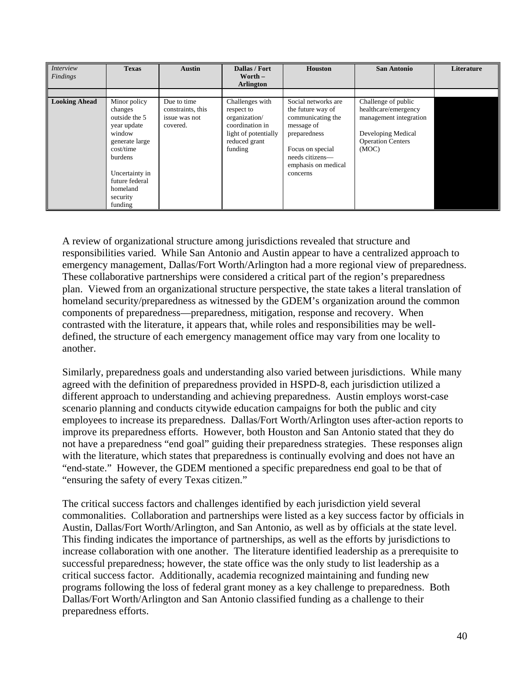| <i>Interview</i><br>Findings | <b>Texas</b>                                                                                                                                                                              | <b>Austin</b>                                                 | Dallas / Fort<br>Worth $-$<br><b>Arlington</b>                                                                        | <b>Houston</b>                                                                                                                                                        | <b>San Antonio</b>                                                                                                               | Literature |
|------------------------------|-------------------------------------------------------------------------------------------------------------------------------------------------------------------------------------------|---------------------------------------------------------------|-----------------------------------------------------------------------------------------------------------------------|-----------------------------------------------------------------------------------------------------------------------------------------------------------------------|----------------------------------------------------------------------------------------------------------------------------------|------------|
|                              |                                                                                                                                                                                           |                                                               |                                                                                                                       |                                                                                                                                                                       |                                                                                                                                  |            |
| <b>Looking Ahead</b>         | Minor policy<br>changes<br>outside the 5<br>year update<br>window<br>generate large<br>cost/time<br><b>burdens</b><br>Uncertainty in<br>future federal<br>homeland<br>security<br>funding | Due to time<br>constraints, this<br>issue was not<br>covered. | Challenges with<br>respect to<br>organization/<br>coordination in<br>light of potentially<br>reduced grant<br>funding | Social networks are<br>the future way of<br>communicating the<br>message of<br>preparedness<br>Focus on special<br>needs citizens-<br>emphasis on medical<br>concerns | Challenge of public<br>healthcare/emergency<br>management integration<br>Developing Medical<br><b>Operation Centers</b><br>(MOC) |            |

A review of organizational structure among jurisdictions revealed that structure and responsibilities varied. While San Antonio and Austin appear to have a centralized approach to emergency management, Dallas/Fort Worth/Arlington had a more regional view of preparedness. These collaborative partnerships were considered a critical part of the region's preparedness plan. Viewed from an organizational structure perspective, the state takes a literal translation of homeland security/preparedness as witnessed by the GDEM's organization around the common components of preparedness—preparedness, mitigation, response and recovery. When contrasted with the literature, it appears that, while roles and responsibilities may be welldefined, the structure of each emergency management office may vary from one locality to another.

Similarly, preparedness goals and understanding also varied between jurisdictions. While many agreed with the definition of preparedness provided in HSPD-8, each jurisdiction utilized a different approach to understanding and achieving preparedness. Austin employs worst-case scenario planning and conducts citywide education campaigns for both the public and city employees to increase its preparedness. Dallas/Fort Worth/Arlington uses after-action reports to improve its preparedness efforts. However, both Houston and San Antonio stated that they do not have a preparedness "end goal" guiding their preparedness strategies. These responses align with the literature, which states that preparedness is continually evolving and does not have an "end-state." However, the GDEM mentioned a specific preparedness end goal to be that of "ensuring the safety of every Texas citizen."

The critical success factors and challenges identified by each jurisdiction yield several commonalities. Collaboration and partnerships were listed as a key success factor by officials in Austin, Dallas/Fort Worth/Arlington, and San Antonio, as well as by officials at the state level. This finding indicates the importance of partnerships, as well as the efforts by jurisdictions to increase collaboration with one another. The literature identified leadership as a prerequisite to successful preparedness; however, the state office was the only study to list leadership as a critical success factor. Additionally, academia recognized maintaining and funding new programs following the loss of federal grant money as a key challenge to preparedness. Both Dallas/Fort Worth/Arlington and San Antonio classified funding as a challenge to their preparedness efforts.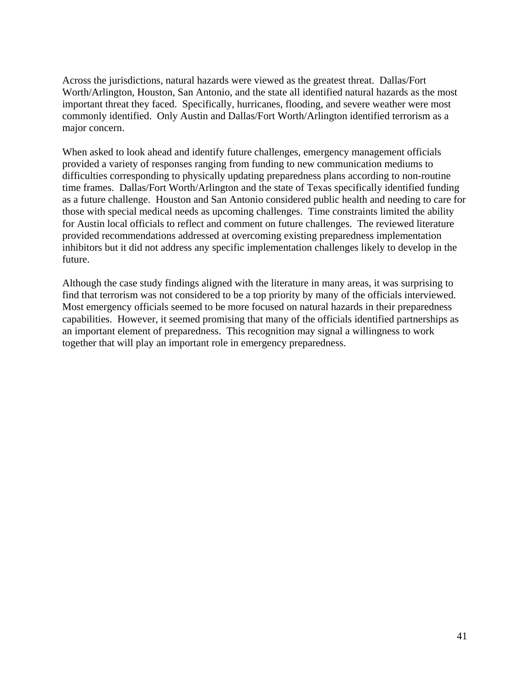Across the jurisdictions, natural hazards were viewed as the greatest threat. Dallas/Fort Worth/Arlington, Houston, San Antonio, and the state all identified natural hazards as the most important threat they faced. Specifically, hurricanes, flooding, and severe weather were most commonly identified. Only Austin and Dallas/Fort Worth/Arlington identified terrorism as a major concern.

When asked to look ahead and identify future challenges, emergency management officials provided a variety of responses ranging from funding to new communication mediums to difficulties corresponding to physically updating preparedness plans according to non-routine time frames. Dallas/Fort Worth/Arlington and the state of Texas specifically identified funding as a future challenge. Houston and San Antonio considered public health and needing to care for those with special medical needs as upcoming challenges. Time constraints limited the ability for Austin local officials to reflect and comment on future challenges. The reviewed literature provided recommendations addressed at overcoming existing preparedness implementation inhibitors but it did not address any specific implementation challenges likely to develop in the future.

Although the case study findings aligned with the literature in many areas, it was surprising to find that terrorism was not considered to be a top priority by many of the officials interviewed. Most emergency officials seemed to be more focused on natural hazards in their preparedness capabilities. However, it seemed promising that many of the officials identified partnerships as an important element of preparedness. This recognition may signal a willingness to work together that will play an important role in emergency preparedness.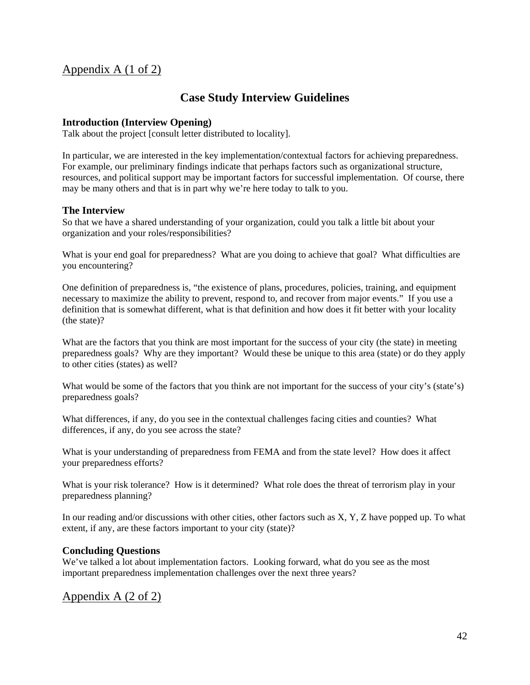## Appendix A (1 of 2)

#### **Case Study Interview Guidelines**

#### **Introduction (Interview Opening)**

Talk about the project [consult letter distributed to locality].

In particular, we are interested in the key implementation/contextual factors for achieving preparedness. For example, our preliminary findings indicate that perhaps factors such as organizational structure, resources, and political support may be important factors for successful implementation. Of course, there may be many others and that is in part why we're here today to talk to you.

#### **The Interview**

So that we have a shared understanding of your organization, could you talk a little bit about your organization and your roles/responsibilities?

What is your end goal for preparedness? What are you doing to achieve that goal? What difficulties are you encountering?

One definition of preparedness is, "the existence of plans, procedures, policies, training, and equipment necessary to maximize the ability to prevent, respond to, and recover from major events." If you use a definition that is somewhat different, what is that definition and how does it fit better with your locality (the state)?

What are the factors that you think are most important for the success of your city (the state) in meeting preparedness goals? Why are they important? Would these be unique to this area (state) or do they apply to other cities (states) as well?

What would be some of the factors that you think are not important for the success of your city's (state's) preparedness goals?

What differences, if any, do you see in the contextual challenges facing cities and counties? What differences, if any, do you see across the state?

What is your understanding of preparedness from FEMA and from the state level? How does it affect your preparedness efforts?

What is your risk tolerance? How is it determined? What role does the threat of terrorism play in your preparedness planning?

In our reading and/or discussions with other cities, other factors such as X, Y, Z have popped up. To what extent, if any, are these factors important to your city (state)?

#### **Concluding Questions**

We've talked a lot about implementation factors. Looking forward, what do you see as the most important preparedness implementation challenges over the next three years?

#### Appendix A (2 of 2)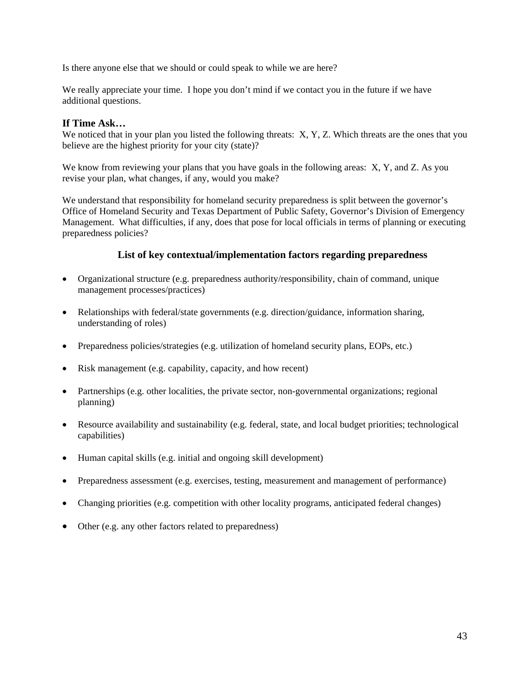Is there anyone else that we should or could speak to while we are here?

We really appreciate your time. I hope you don't mind if we contact you in the future if we have additional questions.

#### **If Time Ask…**

We noticed that in your plan you listed the following threats: X, Y, Z. Which threats are the ones that you believe are the highest priority for your city (state)?

We know from reviewing your plans that you have goals in the following areas: X, Y, and Z. As you revise your plan, what changes, if any, would you make?

We understand that responsibility for homeland security preparedness is split between the governor's Office of Homeland Security and Texas Department of Public Safety, Governor's Division of Emergency Management. What difficulties, if any, does that pose for local officials in terms of planning or executing preparedness policies?

#### **List of key contextual/implementation factors regarding preparedness**

- Organizational structure (e.g. preparedness authority/responsibility, chain of command, unique management processes/practices)
- Relationships with federal/state governments (e.g. direction/guidance, information sharing, understanding of roles)
- Preparedness policies/strategies (e.g. utilization of homeland security plans, EOPs, etc.)
- Risk management (e.g. capability, capacity, and how recent)
- Partnerships (e.g. other localities, the private sector, non-governmental organizations; regional planning)
- Resource availability and sustainability (e.g. federal, state, and local budget priorities; technological capabilities)
- Human capital skills (e.g. initial and ongoing skill development)
- Preparedness assessment (e.g. exercises, testing, measurement and management of performance)
- Changing priorities (e.g. competition with other locality programs, anticipated federal changes)
- Other (e.g. any other factors related to preparedness)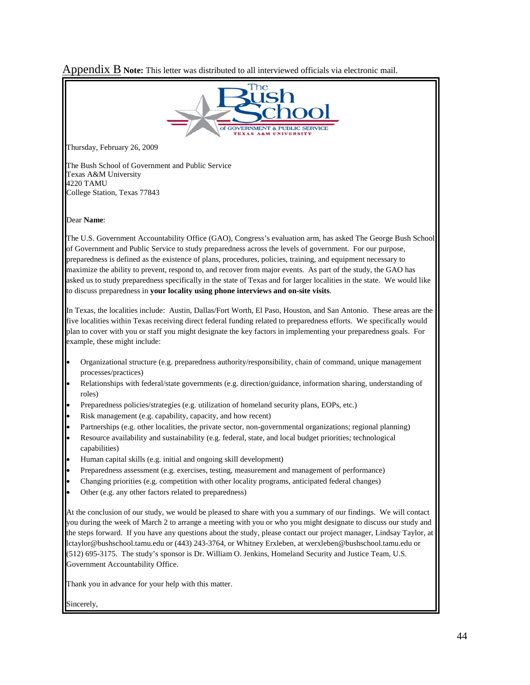Appendix B **Note:** This letter was distributed to all interviewed officials via electronic mail.

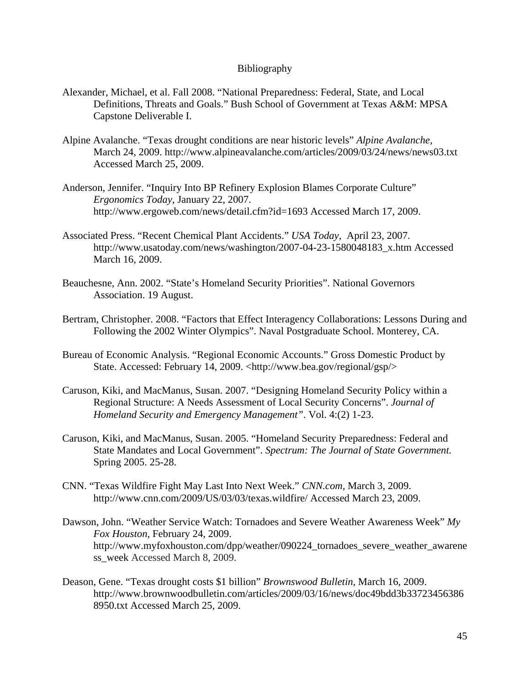#### Bibliography

- Alexander, Michael, et al. Fall 2008. "National Preparedness: Federal, State, and Local Definitions, Threats and Goals." Bush School of Government at Texas A&M: MPSA Capstone Deliverable I.
- Alpine Avalanche. "Texas drought conditions are near historic levels" *Alpine Avalanche,*  March 24, 2009. http://www.alpineavalanche.com/articles/2009/03/24/news/news03.txt Accessed March 25, 2009.
- Anderson, Jennifer. "Inquiry Into BP Refinery Explosion Blames Corporate Culture" *Ergonomics Today*, January 22, 2007. http://www.ergoweb.com/news/detail.cfm?id=1693 Accessed March 17, 2009.
- Associated Press. "Recent Chemical Plant Accidents." *USA Today,* April 23, 2007. http://www.usatoday.com/news/washington/2007-04-23-1580048183\_x.htm Accessed March 16, 2009.
- Beauchesne, Ann. 2002. "State's Homeland Security Priorities". National Governors Association. 19 August.
- Bertram, Christopher. 2008. "Factors that Effect Interagency Collaborations: Lessons During and Following the 2002 Winter Olympics". Naval Postgraduate School. Monterey, CA.
- Bureau of Economic Analysis. "Regional Economic Accounts." Gross Domestic Product by State. Accessed: February 14, 2009. <http://www.bea.gov/regional/gsp/>
- Caruson, Kiki, and MacManus, Susan. 2007. "Designing Homeland Security Policy within a Regional Structure: A Needs Assessment of Local Security Concerns". *Journal of Homeland Security and Emergency Management"*. Vol. 4:(2) 1-23.
- Caruson, Kiki, and MacManus, Susan. 2005. "Homeland Security Preparedness: Federal and State Mandates and Local Government". *Spectrum: The Journal of State Government.*  Spring 2005. 25-28.
- CNN. "Texas Wildfire Fight May Last Into Next Week." *CNN.com,* March 3, 2009. http://www.cnn.com/2009/US/03/03/texas.wildfire/ Accessed March 23, 2009.
- Dawson, John. "Weather Service Watch: Tornadoes and Severe Weather Awareness Week" *My Fox Houston,* February 24, 2009. http://www.myfoxhouston.com/dpp/weather/090224\_tornadoes\_severe\_weather\_awarene ss week Accessed March 8, 2009.
- Deason, Gene. "Texas drought costs \$1 billion" *Brownswood Bulletin,* March 16, 2009. http://www.brownwoodbulletin.com/articles/2009/03/16/news/doc49bdd3b33723456386 8950.txt Accessed March 25, 2009.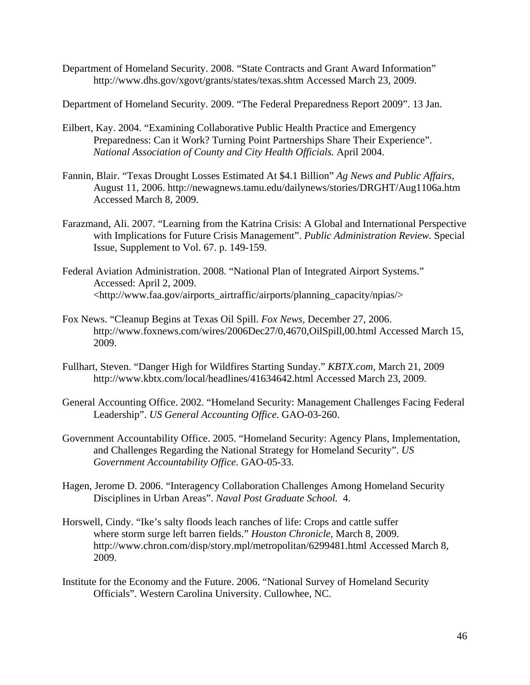Department of Homeland Security. 2008. "State Contracts and Grant Award Information" http://www.dhs.gov/xgovt/grants/states/texas.shtm Accessed March 23, 2009.

Department of Homeland Security. 2009. "The Federal Preparedness Report 2009". 13 Jan.

- Eilbert, Kay. 2004. "Examining Collaborative Public Health Practice and Emergency Preparedness: Can it Work? Turning Point Partnerships Share Their Experience". *National Association of County and City Health Officials.* April 2004.
- Fannin, Blair. "Texas Drought Losses Estimated At \$4.1 Billion" *Ag News and Public Affairs,*  August 11, 2006. http://newagnews.tamu.edu/dailynews/stories/DRGHT/Aug1106a.htm Accessed March 8, 2009.
- Farazmand, Ali. 2007. "Learning from the Katrina Crisis: A Global and International Perspective with Implications for Future Crisis Management". *Public Administration Review.* Special Issue, Supplement to Vol. 67. p. 149-159.
- Federal Aviation Administration. 2008. "National Plan of Integrated Airport Systems." Accessed: April 2, 2009. <http://www.faa.gov/airports\_airtraffic/airports/planning\_capacity/npias/>
- Fox News. "Cleanup Begins at Texas Oil Spill. *Fox News,* December 27, 2006. http://www.foxnews.com/wires/2006Dec27/0,4670,OilSpill,00.html Accessed March 15, 2009.
- Fullhart, Steven. "Danger High for Wildfires Starting Sunday." *KBTX.com,* March 21, 2009 http://www.kbtx.com/local/headlines/41634642.html Accessed March 23, 2009.
- General Accounting Office. 2002. "Homeland Security: Management Challenges Facing Federal Leadership". *US General Accounting Office.* GAO-03-260.
- Government Accountability Office. 2005. "Homeland Security: Agency Plans, Implementation, and Challenges Regarding the National Strategy for Homeland Security". *US Government Accountability Office.* GAO-05-33.
- Hagen, Jerome D. 2006. "Interagency Collaboration Challenges Among Homeland Security Disciplines in Urban Areas". *Naval Post Graduate School.* 4.
- Horswell, Cindy. "Ike's salty floods leach ranches of life: Crops and cattle suffer where storm surge left barren fields." *Houston Chronicle,* March 8, 2009. http://www.chron.com/disp/story.mpl/metropolitan/6299481.html Accessed March 8, 2009.
- Institute for the Economy and the Future. 2006. "National Survey of Homeland Security Officials". Western Carolina University. Cullowhee, NC.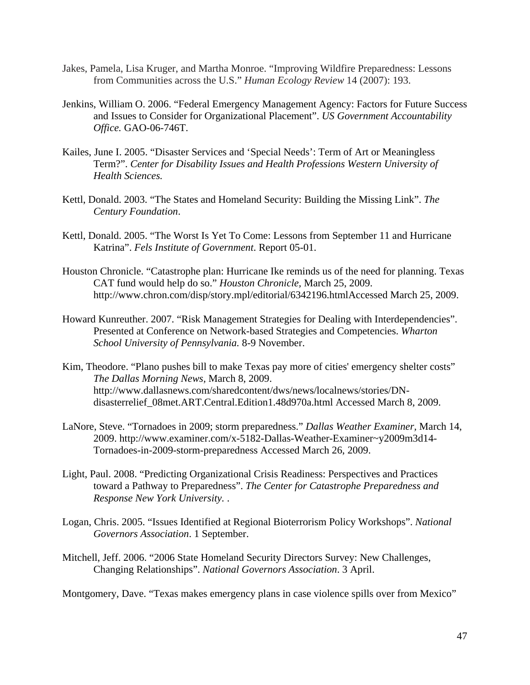- Jakes, Pamela, Lisa Kruger, and Martha Monroe. "Improving Wildfire Preparedness: Lessons from Communities across the U.S." *Human Ecology Review* 14 (2007): 193.
- Jenkins, William O. 2006. "Federal Emergency Management Agency: Factors for Future Success and Issues to Consider for Organizational Placement". *US Government Accountability Office.* GAO-06-746T.
- Kailes, June I. 2005. "Disaster Services and 'Special Needs': Term of Art or Meaningless Term?". *Center for Disability Issues and Health Professions Western University of Health Sciences.*
- Kettl, Donald. 2003. "The States and Homeland Security: Building the Missing Link". *The Century Foundation*.
- Kettl, Donald. 2005. "The Worst Is Yet To Come: Lessons from September 11 and Hurricane Katrina". *Fels Institute of Government*. Report 05-01.
- Houston Chronicle. "Catastrophe plan: Hurricane Ike reminds us of the need for planning. Texas CAT fund would help do so." *Houston Chronicle,* March 25, 2009. http://www.chron.com/disp/story.mpl/editorial/6342196.htmlAccessed March 25, 2009.
- Howard Kunreuther. 2007. "Risk Management Strategies for Dealing with Interdependencies". Presented at Conference on Network-based Strategies and Competencies. *Wharton School University of Pennsylvania.* 8-9 November.
- Kim, Theodore. "Plano pushes bill to make Texas pay more of cities' emergency shelter costs" *The Dallas Morning News,* March 8, 2009. http://www.dallasnews.com/sharedcontent/dws/news/localnews/stories/DNdisasterrelief\_08met.ART.Central.Edition1.48d970a.html Accessed March 8, 2009.
- LaNore, Steve. "Tornadoes in 2009; storm preparedness." *Dallas Weather Examiner,* March 14, 2009. http://www.examiner.com/x-5182-Dallas-Weather-Examiner~y2009m3d14- Tornadoes-in-2009-storm-preparedness Accessed March 26, 2009.
- Light, Paul. 2008. "Predicting Organizational Crisis Readiness: Perspectives and Practices toward a Pathway to Preparedness". *The Center for Catastrophe Preparedness and Response New York University.* .
- Logan, Chris. 2005. "Issues Identified at Regional Bioterrorism Policy Workshops". *National Governors Association*. 1 September.
- Mitchell, Jeff. 2006. "2006 State Homeland Security Directors Survey: New Challenges, Changing Relationships". *National Governors Association*. 3 April.

Montgomery, Dave. "Texas makes emergency plans in case violence spills over from Mexico"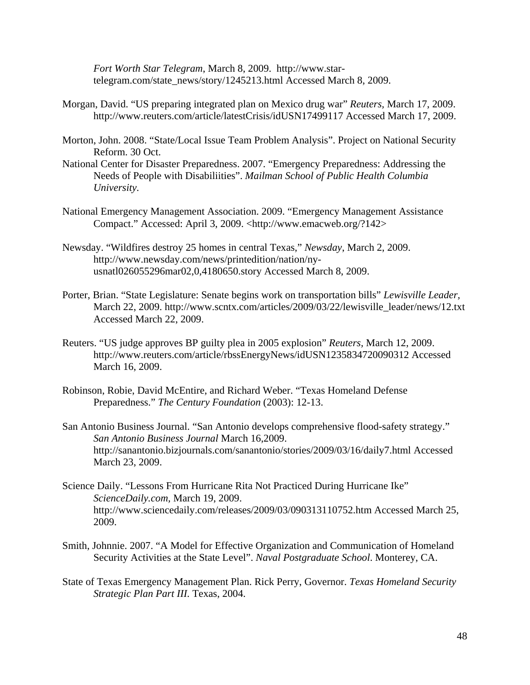*Fort Worth Star Telegram*, March 8, 2009. http://www.startelegram.com/state\_news/story/1245213.html Accessed March 8, 2009.

- Morgan, David. "US preparing integrated plan on Mexico drug war" *Reuters,* March 17, 2009. http://www.reuters.com/article/latestCrisis/idUSN17499117 Accessed March 17, 2009.
- Morton, John. 2008. "State/Local Issue Team Problem Analysis". Project on National Security Reform. 30 Oct.
- National Center for Disaster Preparedness. 2007. "Emergency Preparedness: Addressing the Needs of People with Disabiliities". *Mailman School of Public Health Columbia University.*
- National Emergency Management Association. 2009. "Emergency Management Assistance Compact." Accessed: April 3, 2009. <http://www.emacweb.org/?142>
- Newsday. "Wildfires destroy 25 homes in central Texas," *Newsday*, March 2, 2009. http://www.newsday.com/news/printedition/nation/nyusnatl026055296mar02,0,4180650.story Accessed March 8, 2009.
- Porter, Brian. "State Legislature: Senate begins work on transportation bills" *Lewisville Leader,*  March 22, 2009. http://www.scntx.com/articles/2009/03/22/lewisville\_leader/news/12.txt Accessed March 22, 2009.
- Reuters. "US judge approves BP guilty plea in 2005 explosion" *Reuters,* March 12, 2009. http://www.reuters.com/article/rbssEnergyNews/idUSN1235834720090312 Accessed March 16, 2009.
- Robinson, Robie, David McEntire, and Richard Weber. "Texas Homeland Defense Preparedness." *The Century Foundation* (2003): 12-13.
- San Antonio Business Journal. "San Antonio develops comprehensive flood-safety strategy." *San Antonio Business Journal* March 16,2009. http://sanantonio.bizjournals.com/sanantonio/stories/2009/03/16/daily7.html Accessed March 23, 2009.
- Science Daily. "Lessons From Hurricane Rita Not Practiced During Hurricane Ike" *ScienceDaily.com,* March 19, 2009. http://www.sciencedaily.com/releases/2009/03/090313110752.htm Accessed March 25, 2009.
- Smith, Johnnie. 2007. "A Model for Effective Organization and Communication of Homeland Security Activities at the State Level". *Naval Postgraduate School*. Monterey, CA.
- State of Texas Emergency Management Plan. Rick Perry, Governor. *Texas Homeland Security Strategic Plan Part III.* Texas, 2004.